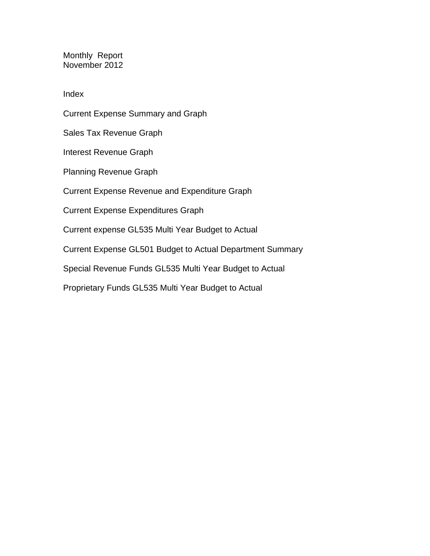Monthly Report November 2012

Index

Current Expense Summary and Graph Sales Tax Revenue Graph Interest Revenue Graph Planning Revenue Graph Current Expense Revenue and Expenditure Graph Current Expense Expenditures Graph Current expense GL535 Multi Year Budget to Actual Current Expense GL501 Budget to Actual Department Summary Special Revenue Funds GL535 Multi Year Budget to Actual Proprietary Funds GL535 Multi Year Budget to Actual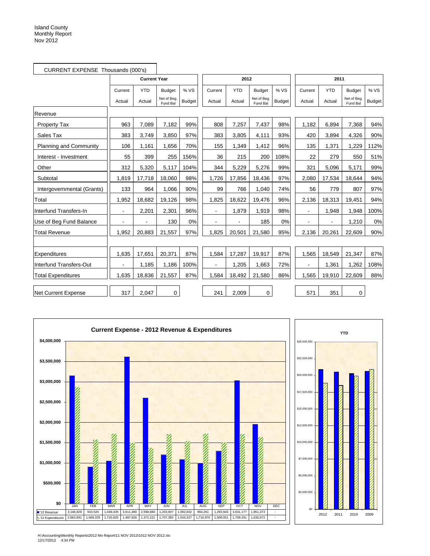|                               | CURRENT EXPENSE Thousands (000's) |                     |                         |               |                |            |                         |               |                          |            |                         |               |
|-------------------------------|-----------------------------------|---------------------|-------------------------|---------------|----------------|------------|-------------------------|---------------|--------------------------|------------|-------------------------|---------------|
|                               |                                   | <b>Current Year</b> |                         |               |                | 2012       |                         |               |                          | 2011       |                         |               |
|                               | Current                           | <b>YTD</b>          | <b>Budget</b>           | % VS          | Current        | <b>YTD</b> | <b>Budget</b>           | % VS          | Current                  | <b>YTD</b> | <b>Budget</b>           | % VS          |
|                               | Actual                            | Actual              | Net of Beg.<br>Fund Bal | <b>Budget</b> | Actual         | Actual     | Net of Beg.<br>Fund Bal | <b>Budget</b> | Actual                   | Actual     | Net of Beg.<br>Fund Bal | <b>Budget</b> |
| Revenue                       |                                   |                     |                         |               |                |            |                         |               |                          |            |                         |               |
| <b>Property Tax</b>           | 963                               | 7,089               | 7,182                   | 99%           | 808            | 7,257      | 7,437                   | 98%           | 1,182                    | 6,894      | 7,368                   | 94%           |
| Sales Tax                     | 383                               | 3.749               | 3,850                   | 97%           | 383            | 3,805      | 4,111                   | 93%           | 420                      | 3,894      | 4,326                   | 90%           |
| <b>Planning and Community</b> | 106                               | 1,161               | 1,656                   | 70%           | 155            | 1,349      | 1,412                   | 96%           | 135                      | 1,371      | 1,229                   | 112%          |
| Interest - Investment         | 55                                | 399                 | 255                     | 156%          | 36             | 215        | 200                     | 108%          | 22                       | 279        | 550                     | 51%           |
| Other                         | 312                               | 5,320               | 5,117                   | 104%          | 344            | 5,229      | 5,276                   | 99%           | 321                      | 5,096      | 5,171                   | 99%           |
| Subtotal                      | 1,819                             | 17,718              | 18,060                  | 98%           | 1,726          | 17,856     | 18,436                  | 97%           | 2,080                    | 17,534     | 18,644                  | 94%           |
| Intergovernmental (Grants)    | 133                               | 964                 | 1,066                   | 90%           | 99             | 766        | 1,040                   | 74%           | 56                       | 779        | 807                     | 97%           |
| Total                         | 1,952                             | 18,682              | 19,126                  | 98%           | 1,825          | 18,622     | 19,476                  | 96%           | 2,136                    | 18,313     | 19,451                  | 94%           |
| Interfund Transfers-In        | $\blacksquare$                    | 2,201               | 2,301                   | 96%           | $\blacksquare$ | 1,879      | 1,919                   | 98%           | $\blacksquare$           | 1,948      | 1,948                   | 100%          |
| Use of Beg Fund Balance       |                                   |                     | 130                     | 0%            |                |            | 185                     | 0%            | ä,                       | ä,         | 1,210                   | 0%            |
| <b>Total Revenue</b>          | 1,952                             | 20,883              | 21,557                  | 97%           | 1,825          | 20,501     | 21,580                  | 95%           | 2,136                    | 20,261     | 22,609                  | 90%           |
|                               |                                   |                     |                         |               |                |            |                         |               |                          |            |                         |               |
| Expenditures                  | 1,635                             | 17,651              | 20,371                  | 87%           | 1,584          | 17,287     | 19,917                  | 87%           | 1,565                    | 18,549     | 21,347                  | 87%           |
| Interfund Transfers-Out       |                                   | 1,185               | 1,186                   | 100%          |                | 1,205      | 1,663                   | 72%           | $\overline{\phantom{0}}$ | 1,361      | 1,262                   | 108%          |
| <b>Total Expenditures</b>     | 1,635                             | 18,836              | 21,557                  | 87%           | 1,584          | 18,492     | 21,580                  | 86%           | 1,565                    | 19,910     | 22,609                  | 88%           |
| <b>Net Current Expense</b>    | 317                               | 2,047               | $\mathbf 0$             |               | 241            | 2,009      | 0                       |               | 571                      | 351        | 0                       |               |





H:\Accounting\Monthly Reports\2012 Mo Report\11 NOV 2012\1012 NOV 2012.xls 12/17/2012 4:34 PM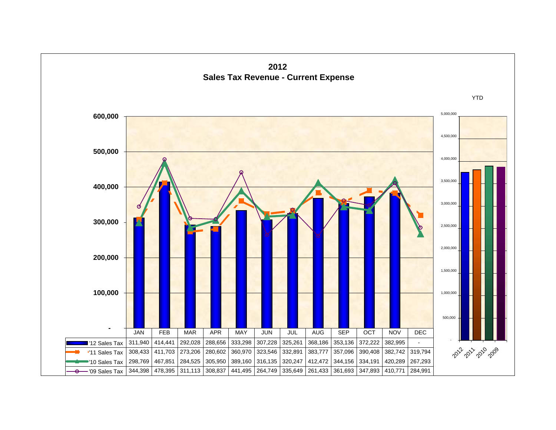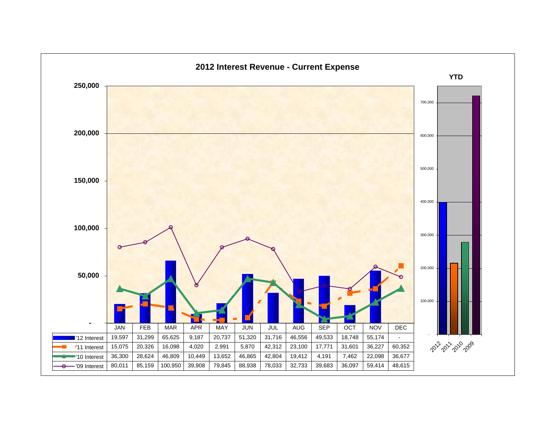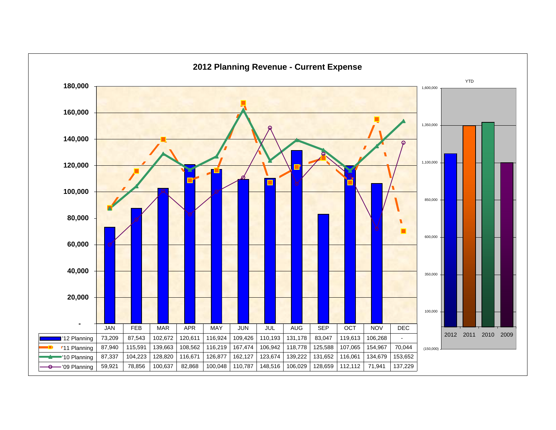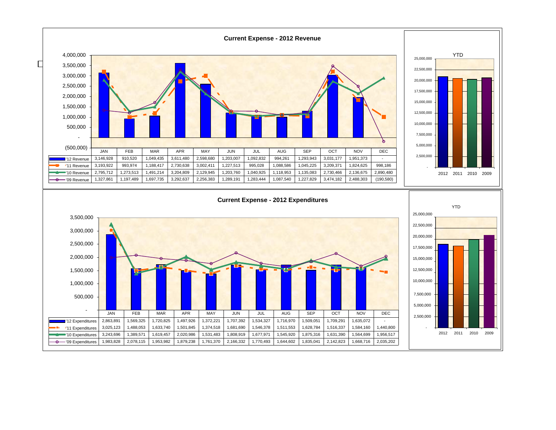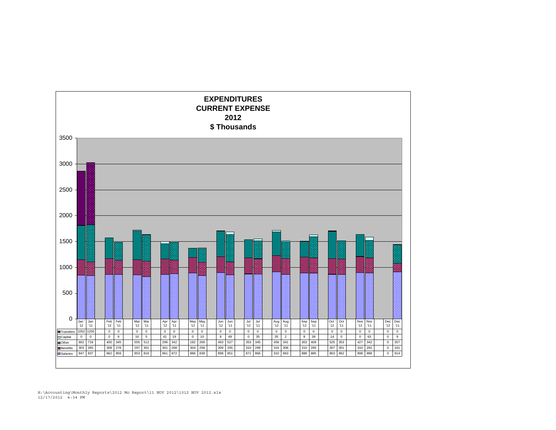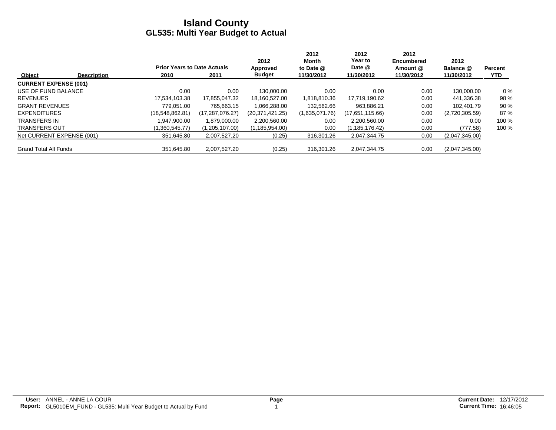|                              |                    |                                    |                 | 2012             | 2012<br>Month  | 2012<br>Year to | 2012<br><b>Encumbered</b> | 2012           |                |
|------------------------------|--------------------|------------------------------------|-----------------|------------------|----------------|-----------------|---------------------------|----------------|----------------|
|                              |                    | <b>Prior Years to Date Actuals</b> |                 | Approved         | to Date @      | Date @          | Amount @                  | Balance @      | <b>Percent</b> |
| Object                       | <b>Description</b> | 2010                               | 2011            | <b>Budget</b>    | 11/30/2012     | 11/30/2012      | 11/30/2012                | 11/30/2012     | <b>YTD</b>     |
| <b>CURRENT EXPENSE (001)</b> |                    |                                    |                 |                  |                |                 |                           |                |                |
| USE OF FUND BALANCE          |                    | 0.00                               | 0.00            | 130.000.00       | 0.00           | 0.00            | 0.00                      | 130.000.00     | $0\%$          |
| <b>REVENUES</b>              |                    | 17,534,103.38                      | 17,855,047.32   | 18,160,527.00    | 1,818,810.36   | 17,719,190.62   | 0.00                      | 441,336.38     | 98 %           |
| <b>GRANT REVENUES</b>        |                    | 779.051.00                         | 765.663.15      | 1.066.288.00     | 132.562.66     | 963.886.21      | 0.00                      | 102.401.79     | 90%            |
| <b>EXPENDITURES</b>          |                    | (18,548,862.81)                    | (17,287,076.27) | (20.371.421.25)  | (1,635,071.76) | (17,651,115.66) | 0.00                      | (2,720,305.59) | 87%            |
| <b>TRANSFERS IN</b>          |                    | .947.900.00                        | 1.879.000.00    | 2,200,560.00     | 0.00           | 2.200.560.00    | 0.00                      | 0.00           | 100 %          |
| <b>TRANSFERS OUT</b>         |                    | (1,360,545.77)                     | (1,205,107.00)  | (1, 185, 954.00) | 0.00           | (1,185,176.42)  | 0.00                      | (777.58)       | 100 %          |
| Net CURRENT EXPENSE (001)    |                    | 351,645.80                         | 2.007.527.20    | (0.25)           | 316,301.26     | 2.047.344.75    | 0.00                      | (2,047,345.00) |                |
| <b>Grand Total All Funds</b> |                    | 351.645.80                         | 2,007,527.20    | (0.25)           | 316.301.26     | 2.047.344.75    | 0.00                      | (2,047,345.00) |                |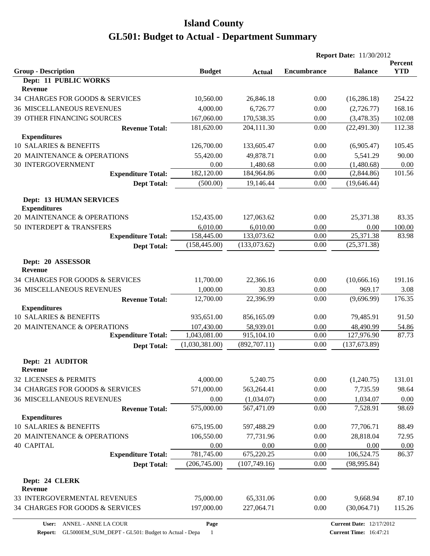|                                                          |                   |                       |                    | <b>Report Date: 11/30/2012</b>  |                       |
|----------------------------------------------------------|-------------------|-----------------------|--------------------|---------------------------------|-----------------------|
| <b>Group - Description</b>                               | <b>Budget</b>     | <b>Actual</b>         | <b>Encumbrance</b> | <b>Balance</b>                  | Percent<br><b>YTD</b> |
| <b>Dept: 11 PUBLIC WORKS</b><br>Revenue                  |                   |                       |                    |                                 |                       |
| 34 CHARGES FOR GOODS & SERVICES                          | 10,560.00         | 26,846.18             | 0.00               | (16, 286.18)                    | 254.22                |
|                                                          | 4,000.00          |                       |                    |                                 | 168.16                |
| <b>36 MISCELLANEOUS REVENUES</b>                         |                   | 6,726.77              | 0.00               | (2,726.77)                      |                       |
| 39 OTHER FINANCING SOURCES                               | 167,060.00        | 170,538.35            | 0.00               | (3,478.35)                      | 102.08                |
| <b>Revenue Total:</b>                                    | 181,620.00        | 204,111.30            | 0.00               | (22, 491.30)                    | 112.38                |
| <b>Expenditures</b><br>10 SALARIES & BENEFITS            | 126,700.00        | 133,605.47            |                    | (6,905.47)                      | 105.45                |
|                                                          |                   |                       | 0.00<br>0.00       |                                 |                       |
| 20 MAINTENANCE & OPERATIONS<br><b>30 INTERGOVERNMENT</b> | 55,420.00<br>0.00 | 49,878.71<br>1,480.68 | 0.00               | 5,541.29                        | 90.00                 |
| <b>Expenditure Total:</b>                                | 182,120.00        | 184,964.86            | 0.00               | (1,480.68)<br>(2,844.86)        | $0.00\,$<br>101.56    |
| <b>Dept Total:</b>                                       | (500.00)          | 19,146.44             | 0.00               | (19, 646.44)                    |                       |
|                                                          |                   |                       |                    |                                 |                       |
| <b>Dept: 13 HUMAN SERVICES</b><br><b>Expenditures</b>    |                   |                       |                    |                                 |                       |
| 20 MAINTENANCE & OPERATIONS                              | 152,435.00        | 127,063.62            | 0.00               | 25,371.38                       | 83.35                 |
| 50 INTERDEPT & TRANSFERS                                 | 6,010.00          | 6,010.00              | 0.00               | 0.00                            | 100.00                |
| <b>Expenditure Total:</b>                                | 158,445.00        | 133,073.62            | 0.00               | 25,371.38                       | 83.98                 |
| <b>Dept Total:</b>                                       | (158, 445.00)     | (133,073.62)          | 0.00               | (25, 371.38)                    |                       |
|                                                          |                   |                       |                    |                                 |                       |
| Dept: 20 ASSESSOR<br><b>Revenue</b>                      |                   |                       |                    |                                 |                       |
| 34 CHARGES FOR GOODS & SERVICES                          | 11,700.00         | 22,366.16             | 0.00               | (10, 666.16)                    | 191.16                |
| <b>36 MISCELLANEOUS REVENUES</b>                         | 1,000.00          | 30.83                 | 0.00               | 969.17                          | 3.08                  |
| <b>Revenue Total:</b>                                    | 12,700.00         | 22,396.99             | 0.00               | (9,696.99)                      | 176.35                |
| <b>Expenditures</b>                                      |                   |                       |                    |                                 |                       |
| 10 SALARIES & BENEFITS                                   | 935,651.00        | 856,165.09            | 0.00               | 79,485.91                       | 91.50                 |
| 20 MAINTENANCE & OPERATIONS                              | 107,430.00        | 58,939.01             | 0.00               | 48,490.99                       | 54.86                 |
| <b>Expenditure Total:</b>                                | 1,043,081.00      | 915,104.10            | 0.00               | 127,976.90                      | 87.73                 |
| <b>Dept Total:</b>                                       | (1,030,381.00)    | (892, 707.11)         | 0.00               | (137, 673.89)                   |                       |
| Dept: 21 AUDITOR                                         |                   |                       |                    |                                 |                       |
| <b>Revenue</b>                                           |                   |                       |                    |                                 |                       |
| 32 LICENSES & PERMITS                                    | 4,000.00          | 5,240.75              | 0.00               | (1,240.75)                      | 131.01                |
| 34 CHARGES FOR GOODS & SERVICES                          | 571,000.00        | 563,264.41            | 0.00               | 7,735.59                        | 98.64                 |
| <b>36 MISCELLANEOUS REVENUES</b>                         | 0.00              | (1,034.07)            | 0.00               | 1,034.07                        | 0.00                  |
| <b>Revenue Total:</b>                                    | 575,000.00        | 567,471.09            | 0.00               | 7,528.91                        | 98.69                 |
| <b>Expenditures</b>                                      |                   |                       |                    |                                 |                       |
| 10 SALARIES & BENEFITS                                   | 675,195.00        | 597,488.29            | 0.00               | 77,706.71                       | 88.49                 |
| 20 MAINTENANCE & OPERATIONS                              | 106,550.00        | 77,731.96             | 0.00               | 28,818.04                       | 72.95                 |
| <b>40 CAPITAL</b>                                        | 0.00              | 0.00                  | 0.00               | 0.00                            | 0.00                  |
| <b>Expenditure Total:</b>                                | 781,745.00        | 675,220.25            | 0.00               | 106,524.75                      | 86.37                 |
| <b>Dept Total:</b>                                       | (206,745.00)      | (107,749.16)          | 0.00               | (98, 995.84)                    |                       |
| Dept: 24 CLERK                                           |                   |                       |                    |                                 |                       |
| Revenue                                                  |                   |                       |                    |                                 |                       |
| 33 INTERGOVERMENTAL REVENUES                             | 75,000.00         | 65,331.06             | 0.00               | 9,668.94                        | 87.10                 |
| 34 CHARGES FOR GOODS & SERVICES                          | 197,000.00        | 227,064.71            | 0.00               | (30,064.71)                     | 115.26                |
| User:<br>ANNEL - ANNE LA COUR                            | Page              |                       |                    | <b>Current Date: 12/17/2012</b> |                       |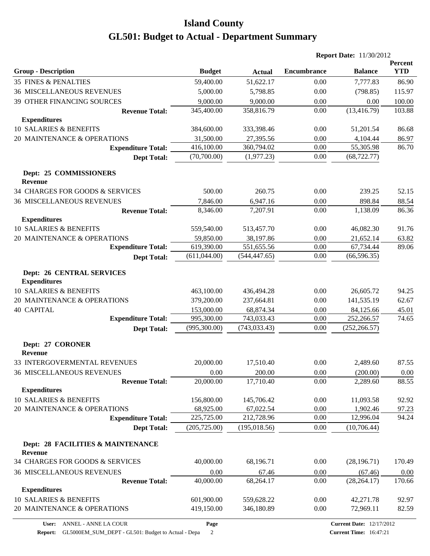|                                                         |               |               |                    | <b>Report Date: 11/30/2012</b> |                              |
|---------------------------------------------------------|---------------|---------------|--------------------|--------------------------------|------------------------------|
| <b>Group - Description</b>                              | <b>Budget</b> | <b>Actual</b> | <b>Encumbrance</b> | <b>Balance</b>                 | <b>Percent</b><br><b>YTD</b> |
| <b>35 FINES &amp; PENALTIES</b>                         | 59,400.00     | 51,622.17     | 0.00               | 7,777.83                       | 86.90                        |
| <b>36 MISCELLANEOUS REVENUES</b>                        | 5,000.00      | 5,798.85      | 0.00               | (798.85)                       | 115.97                       |
| 39 OTHER FINANCING SOURCES                              | 9,000.00      | 9,000.00      | 0.00               | 0.00                           | 100.00                       |
| <b>Revenue Total:</b>                                   | 345,400.00    | 358,816.79    | 0.00               | (13, 416.79)                   | 103.88                       |
| <b>Expenditures</b>                                     |               |               |                    |                                |                              |
| 10 SALARIES & BENEFITS                                  | 384,600.00    | 333,398.46    | 0.00               | 51,201.54                      | 86.68                        |
| 20 MAINTENANCE & OPERATIONS                             | 31,500.00     | 27,395.56     | 0.00               | 4,104.44                       | 86.97                        |
| <b>Expenditure Total:</b>                               | 416,100.00    | 360,794.02    | 0.00               | 55,305.98                      | 86.70                        |
| <b>Dept Total:</b>                                      | (70,700.00)   | (1,977.23)    | 0.00               | (68, 722.77)                   |                              |
| Dept: 25 COMMISSIONERS<br>Revenue                       |               |               |                    |                                |                              |
| 34 CHARGES FOR GOODS & SERVICES                         | 500.00        | 260.75        | 0.00               | 239.25                         | 52.15                        |
| <b>36 MISCELLANEOUS REVENUES</b>                        | 7,846.00      | 6,947.16      | 0.00               | 898.84                         | 88.54                        |
| <b>Revenue Total:</b>                                   | 8,346.00      | 7,207.91      | 0.00               | 1,138.09                       | 86.36                        |
| <b>Expenditures</b>                                     |               |               |                    |                                |                              |
| 10 SALARIES & BENEFITS                                  | 559,540.00    | 513,457.70    | 0.00               | 46,082.30                      | 91.76                        |
| 20 MAINTENANCE & OPERATIONS                             | 59,850.00     | 38,197.86     | 0.00               | 21,652.14                      | 63.82                        |
| <b>Expenditure Total:</b>                               | 619,390.00    | 551,655.56    | 0.00               | 67,734.44                      | 89.06                        |
| <b>Dept Total:</b>                                      | (611, 044.00) | (544, 447.65) | 0.00               | (66, 596.35)                   |                              |
| <b>Dept: 26 CENTRAL SERVICES</b><br><b>Expenditures</b> |               |               |                    |                                |                              |
| 10 SALARIES & BENEFITS                                  | 463,100.00    | 436,494.28    | 0.00               | 26,605.72                      | 94.25                        |
| 20 MAINTENANCE & OPERATIONS                             | 379,200.00    | 237,664.81    | 0.00               | 141,535.19                     | 62.67                        |
| <b>40 CAPITAL</b>                                       | 153,000.00    | 68,874.34     | 0.00               | 84,125.66                      | 45.01                        |
| <b>Expenditure Total:</b>                               | 995,300.00    | 743,033.43    | 0.00               | 252,266.57                     | 74.65                        |
| <b>Dept Total:</b>                                      | (995,300.00)  | (743, 033.43) | 0.00               | (252, 266.57)                  |                              |
| Dept: 27 CORONER<br><b>Revenue</b>                      |               |               |                    |                                |                              |
| 33 INTERGOVERMENTAL REVENUES                            | 20,000.00     | 17,510.40     | 0.00               | 2,489.60                       | 87.55                        |
| <b>36 MISCELLANEOUS REVENUES</b>                        | 0.00          | 200.00        | 0.00               | (200.00)                       | 0.00                         |
| <b>Revenue Total:</b>                                   | 20,000.00     | 17,710.40     | 0.00               | 2,289.60                       | 88.55                        |
| <b>Expenditures</b>                                     |               |               |                    |                                |                              |
| 10 SALARIES & BENEFITS                                  | 156,800.00    | 145,706.42    | 0.00               | 11,093.58                      | 92.92                        |
| 20 MAINTENANCE & OPERATIONS                             | 68,925.00     | 67,022.54     | 0.00               | 1,902.46                       | 97.23                        |
| <b>Expenditure Total:</b>                               | 225,725.00    | 212,728.96    | 0.00               | 12,996.04                      | 94.24                        |
| <b>Dept Total:</b>                                      | (205, 725.00) | (195, 018.56) | 0.00               | (10,706.44)                    |                              |
| Dept: 28 FACILITIES & MAINTENANCE<br>Revenue            |               |               |                    |                                |                              |
| 34 CHARGES FOR GOODS & SERVICES                         | 40,000.00     | 68,196.71     | 0.00               | (28, 196.71)                   | 170.49                       |
| <b>36 MISCELLANEOUS REVENUES</b>                        | 0.00          | 67.46         | 0.00               | (67.46)                        | 0.00                         |
| <b>Revenue Total:</b>                                   | 40,000.00     | 68,264.17     | 0.00               | (28, 264.17)                   | 170.66                       |
| <b>Expenditures</b>                                     |               |               |                    |                                |                              |
| 10 SALARIES & BENEFITS                                  | 601,900.00    | 559,628.22    | 0.00               | 42,271.78                      | 92.97                        |
| 20 MAINTENANCE & OPERATIONS                             | 419,150.00    | 346,180.89    | 0.00               | 72,969.11                      | 82.59                        |
|                                                         |               |               |                    |                                |                              |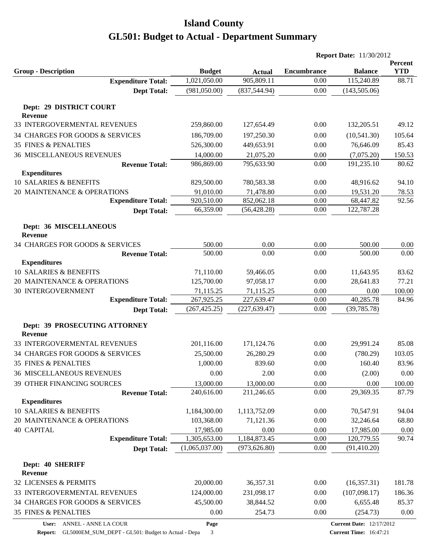| <b>YTD</b><br><b>Group - Description</b><br><b>Budget</b><br><b>Encumbrance</b><br><b>Balance</b><br><b>Actual</b><br>905,809.11<br>1,021,050.00<br>115,240.89<br>88.71<br><b>Expenditure Total:</b><br>0.00<br>(981,050.00)<br>(837, 544.94)<br>0.00<br>(143, 505.06)<br><b>Dept Total:</b><br>Dept: 29 DISTRICT COURT<br><b>Revenue</b><br>33 INTERGOVERMENTAL REVENUES<br>259,860.00<br>127,654.49<br>0.00<br>132,205.51<br>49.12<br>34 CHARGES FOR GOODS & SERVICES<br>(10, 541.30)<br>105.64<br>186,709.00<br>197,250.30<br>0.00<br><b>35 FINES &amp; PENALTIES</b><br>76,646.09<br>526,300.00<br>449,653.91<br>0.00<br>85.43<br><b>36 MISCELLANEOUS REVENUES</b><br>14,000.00<br>21,075.20<br>0.00<br>(7,075.20)<br>150.53<br>986,869.00<br>795,633.90<br>0.00<br>191,235.10<br>80.62<br><b>Revenue Total:</b><br><b>Expenditures</b><br>10 SALARIES & BENEFITS<br>829,500.00<br>780,583.38<br>0.00<br>48,916.62<br>94.10<br>20 MAINTENANCE & OPERATIONS<br>91,010.00<br>71,478.80<br>0.00<br>19,531.20<br>78.53<br>920,510.00<br><b>Expenditure Total:</b><br>852,062.18<br>0.00<br>68,447.82<br>92.56<br>66,359.00<br>(56, 428.28)<br>0.00<br>122,787.28<br><b>Dept Total:</b><br>Dept: 36 MISCELLANEOUS<br><b>Revenue</b><br>0.00<br>34 CHARGES FOR GOODS & SERVICES<br>500.00<br>0.00<br>500.00<br>0.00<br>500.00<br>0.00<br>0.00<br>500.00<br>0.00<br><b>Revenue Total:</b><br><b>Expenditures</b><br>10 SALARIES & BENEFITS<br>71,110.00<br>83.62<br>59,466.05<br>0.00<br>11,643.95<br>20 MAINTENANCE & OPERATIONS<br>125,700.00<br>97,058.17<br>28,641.83<br>77.21<br>0.00<br>30 INTERGOVERNMENT<br>71,115.25<br>71,115.25<br>0.00<br>0.00<br>100.00<br>40,285.78<br>267,925.25<br>84.96<br><b>Expenditure Total:</b><br>227,639.47<br>0.00<br>(227, 639.47)<br>0.00<br>(39, 785.78)<br>(267, 425.25)<br><b>Dept Total:</b><br>Dept: 39 PROSECUTING ATTORNEY<br>Revenue<br>33 INTERGOVERMENTAL REVENUES<br>85.08<br>201,116.00<br>171,124.76<br>0.00<br>29,991.24<br>34 CHARGES FOR GOODS & SERVICES<br>25,500.00<br>26,280.29<br>(780.29)<br>103.05<br>0.00<br>1,000.00<br>839.60<br>0.00<br>83.96<br>35 FINES & PENALTIES<br>160.40<br>0.00<br><b>36 MISCELLANEOUS REVENUES</b><br>2.00<br>0.00<br>(2.00)<br>0.00<br>39 OTHER FINANCING SOURCES<br>13,000.00<br>0.00<br>13,000.00<br>0.00<br>100.00<br>29,369.35<br>240,616.00<br>211,246.65<br>0.00<br>87.79<br><b>Revenue Total:</b><br><b>Expenditures</b><br><b>10 SALARIES &amp; BENEFITS</b><br>1,184,300.00<br>1,113,752.09<br>94.04<br>0.00<br>70,547.91<br>20 MAINTENANCE & OPERATIONS<br>103,368.00<br>0.00<br>32,246.64<br>68.80<br>71,121.36<br><b>40 CAPITAL</b><br>17,985.00<br>0.00<br>0.00<br>17,985.00<br>0.00<br>1,184,873.45<br><b>Expenditure Total:</b><br>1,305,653.00<br>0.00<br>120,779.55<br>90.74<br>(1,065,037.00)<br>(973, 626.80)<br>0.00<br>(91, 410.20)<br><b>Dept Total:</b><br>Dept: 40 SHERIFF<br>Revenue<br>32 LICENSES & PERMITS<br>20,000.00<br>36,357.31<br>181.78<br>0.00<br>(16,357.31) |                              |            |            |      | <b>Report Date: 11/30/2012</b> |         |
|------------------------------------------------------------------------------------------------------------------------------------------------------------------------------------------------------------------------------------------------------------------------------------------------------------------------------------------------------------------------------------------------------------------------------------------------------------------------------------------------------------------------------------------------------------------------------------------------------------------------------------------------------------------------------------------------------------------------------------------------------------------------------------------------------------------------------------------------------------------------------------------------------------------------------------------------------------------------------------------------------------------------------------------------------------------------------------------------------------------------------------------------------------------------------------------------------------------------------------------------------------------------------------------------------------------------------------------------------------------------------------------------------------------------------------------------------------------------------------------------------------------------------------------------------------------------------------------------------------------------------------------------------------------------------------------------------------------------------------------------------------------------------------------------------------------------------------------------------------------------------------------------------------------------------------------------------------------------------------------------------------------------------------------------------------------------------------------------------------------------------------------------------------------------------------------------------------------------------------------------------------------------------------------------------------------------------------------------------------------------------------------------------------------------------------------------------------------------------------------------------------------------------------------------------------------------------------------------------------------------------------------------------------------------------------------------------------------------------------------------------------------------------------------------------------------------------------------------------------------------------------------------------------------------------------------------------------------------------------------------|------------------------------|------------|------------|------|--------------------------------|---------|
|                                                                                                                                                                                                                                                                                                                                                                                                                                                                                                                                                                                                                                                                                                                                                                                                                                                                                                                                                                                                                                                                                                                                                                                                                                                                                                                                                                                                                                                                                                                                                                                                                                                                                                                                                                                                                                                                                                                                                                                                                                                                                                                                                                                                                                                                                                                                                                                                                                                                                                                                                                                                                                                                                                                                                                                                                                                                                                                                                                                                |                              |            |            |      |                                | Percent |
|                                                                                                                                                                                                                                                                                                                                                                                                                                                                                                                                                                                                                                                                                                                                                                                                                                                                                                                                                                                                                                                                                                                                                                                                                                                                                                                                                                                                                                                                                                                                                                                                                                                                                                                                                                                                                                                                                                                                                                                                                                                                                                                                                                                                                                                                                                                                                                                                                                                                                                                                                                                                                                                                                                                                                                                                                                                                                                                                                                                                |                              |            |            |      |                                |         |
|                                                                                                                                                                                                                                                                                                                                                                                                                                                                                                                                                                                                                                                                                                                                                                                                                                                                                                                                                                                                                                                                                                                                                                                                                                                                                                                                                                                                                                                                                                                                                                                                                                                                                                                                                                                                                                                                                                                                                                                                                                                                                                                                                                                                                                                                                                                                                                                                                                                                                                                                                                                                                                                                                                                                                                                                                                                                                                                                                                                                |                              |            |            |      |                                |         |
|                                                                                                                                                                                                                                                                                                                                                                                                                                                                                                                                                                                                                                                                                                                                                                                                                                                                                                                                                                                                                                                                                                                                                                                                                                                                                                                                                                                                                                                                                                                                                                                                                                                                                                                                                                                                                                                                                                                                                                                                                                                                                                                                                                                                                                                                                                                                                                                                                                                                                                                                                                                                                                                                                                                                                                                                                                                                                                                                                                                                |                              |            |            |      |                                |         |
|                                                                                                                                                                                                                                                                                                                                                                                                                                                                                                                                                                                                                                                                                                                                                                                                                                                                                                                                                                                                                                                                                                                                                                                                                                                                                                                                                                                                                                                                                                                                                                                                                                                                                                                                                                                                                                                                                                                                                                                                                                                                                                                                                                                                                                                                                                                                                                                                                                                                                                                                                                                                                                                                                                                                                                                                                                                                                                                                                                                                |                              |            |            |      |                                |         |
|                                                                                                                                                                                                                                                                                                                                                                                                                                                                                                                                                                                                                                                                                                                                                                                                                                                                                                                                                                                                                                                                                                                                                                                                                                                                                                                                                                                                                                                                                                                                                                                                                                                                                                                                                                                                                                                                                                                                                                                                                                                                                                                                                                                                                                                                                                                                                                                                                                                                                                                                                                                                                                                                                                                                                                                                                                                                                                                                                                                                |                              |            |            |      |                                |         |
|                                                                                                                                                                                                                                                                                                                                                                                                                                                                                                                                                                                                                                                                                                                                                                                                                                                                                                                                                                                                                                                                                                                                                                                                                                                                                                                                                                                                                                                                                                                                                                                                                                                                                                                                                                                                                                                                                                                                                                                                                                                                                                                                                                                                                                                                                                                                                                                                                                                                                                                                                                                                                                                                                                                                                                                                                                                                                                                                                                                                |                              |            |            |      |                                |         |
|                                                                                                                                                                                                                                                                                                                                                                                                                                                                                                                                                                                                                                                                                                                                                                                                                                                                                                                                                                                                                                                                                                                                                                                                                                                                                                                                                                                                                                                                                                                                                                                                                                                                                                                                                                                                                                                                                                                                                                                                                                                                                                                                                                                                                                                                                                                                                                                                                                                                                                                                                                                                                                                                                                                                                                                                                                                                                                                                                                                                |                              |            |            |      |                                |         |
|                                                                                                                                                                                                                                                                                                                                                                                                                                                                                                                                                                                                                                                                                                                                                                                                                                                                                                                                                                                                                                                                                                                                                                                                                                                                                                                                                                                                                                                                                                                                                                                                                                                                                                                                                                                                                                                                                                                                                                                                                                                                                                                                                                                                                                                                                                                                                                                                                                                                                                                                                                                                                                                                                                                                                                                                                                                                                                                                                                                                |                              |            |            |      |                                |         |
|                                                                                                                                                                                                                                                                                                                                                                                                                                                                                                                                                                                                                                                                                                                                                                                                                                                                                                                                                                                                                                                                                                                                                                                                                                                                                                                                                                                                                                                                                                                                                                                                                                                                                                                                                                                                                                                                                                                                                                                                                                                                                                                                                                                                                                                                                                                                                                                                                                                                                                                                                                                                                                                                                                                                                                                                                                                                                                                                                                                                |                              |            |            |      |                                |         |
|                                                                                                                                                                                                                                                                                                                                                                                                                                                                                                                                                                                                                                                                                                                                                                                                                                                                                                                                                                                                                                                                                                                                                                                                                                                                                                                                                                                                                                                                                                                                                                                                                                                                                                                                                                                                                                                                                                                                                                                                                                                                                                                                                                                                                                                                                                                                                                                                                                                                                                                                                                                                                                                                                                                                                                                                                                                                                                                                                                                                |                              |            |            |      |                                |         |
|                                                                                                                                                                                                                                                                                                                                                                                                                                                                                                                                                                                                                                                                                                                                                                                                                                                                                                                                                                                                                                                                                                                                                                                                                                                                                                                                                                                                                                                                                                                                                                                                                                                                                                                                                                                                                                                                                                                                                                                                                                                                                                                                                                                                                                                                                                                                                                                                                                                                                                                                                                                                                                                                                                                                                                                                                                                                                                                                                                                                |                              |            |            |      |                                |         |
|                                                                                                                                                                                                                                                                                                                                                                                                                                                                                                                                                                                                                                                                                                                                                                                                                                                                                                                                                                                                                                                                                                                                                                                                                                                                                                                                                                                                                                                                                                                                                                                                                                                                                                                                                                                                                                                                                                                                                                                                                                                                                                                                                                                                                                                                                                                                                                                                                                                                                                                                                                                                                                                                                                                                                                                                                                                                                                                                                                                                |                              |            |            |      |                                |         |
|                                                                                                                                                                                                                                                                                                                                                                                                                                                                                                                                                                                                                                                                                                                                                                                                                                                                                                                                                                                                                                                                                                                                                                                                                                                                                                                                                                                                                                                                                                                                                                                                                                                                                                                                                                                                                                                                                                                                                                                                                                                                                                                                                                                                                                                                                                                                                                                                                                                                                                                                                                                                                                                                                                                                                                                                                                                                                                                                                                                                |                              |            |            |      |                                |         |
|                                                                                                                                                                                                                                                                                                                                                                                                                                                                                                                                                                                                                                                                                                                                                                                                                                                                                                                                                                                                                                                                                                                                                                                                                                                                                                                                                                                                                                                                                                                                                                                                                                                                                                                                                                                                                                                                                                                                                                                                                                                                                                                                                                                                                                                                                                                                                                                                                                                                                                                                                                                                                                                                                                                                                                                                                                                                                                                                                                                                |                              |            |            |      |                                |         |
|                                                                                                                                                                                                                                                                                                                                                                                                                                                                                                                                                                                                                                                                                                                                                                                                                                                                                                                                                                                                                                                                                                                                                                                                                                                                                                                                                                                                                                                                                                                                                                                                                                                                                                                                                                                                                                                                                                                                                                                                                                                                                                                                                                                                                                                                                                                                                                                                                                                                                                                                                                                                                                                                                                                                                                                                                                                                                                                                                                                                |                              |            |            |      |                                |         |
|                                                                                                                                                                                                                                                                                                                                                                                                                                                                                                                                                                                                                                                                                                                                                                                                                                                                                                                                                                                                                                                                                                                                                                                                                                                                                                                                                                                                                                                                                                                                                                                                                                                                                                                                                                                                                                                                                                                                                                                                                                                                                                                                                                                                                                                                                                                                                                                                                                                                                                                                                                                                                                                                                                                                                                                                                                                                                                                                                                                                |                              |            |            |      |                                |         |
|                                                                                                                                                                                                                                                                                                                                                                                                                                                                                                                                                                                                                                                                                                                                                                                                                                                                                                                                                                                                                                                                                                                                                                                                                                                                                                                                                                                                                                                                                                                                                                                                                                                                                                                                                                                                                                                                                                                                                                                                                                                                                                                                                                                                                                                                                                                                                                                                                                                                                                                                                                                                                                                                                                                                                                                                                                                                                                                                                                                                |                              |            |            |      |                                |         |
|                                                                                                                                                                                                                                                                                                                                                                                                                                                                                                                                                                                                                                                                                                                                                                                                                                                                                                                                                                                                                                                                                                                                                                                                                                                                                                                                                                                                                                                                                                                                                                                                                                                                                                                                                                                                                                                                                                                                                                                                                                                                                                                                                                                                                                                                                                                                                                                                                                                                                                                                                                                                                                                                                                                                                                                                                                                                                                                                                                                                |                              |            |            |      |                                |         |
|                                                                                                                                                                                                                                                                                                                                                                                                                                                                                                                                                                                                                                                                                                                                                                                                                                                                                                                                                                                                                                                                                                                                                                                                                                                                                                                                                                                                                                                                                                                                                                                                                                                                                                                                                                                                                                                                                                                                                                                                                                                                                                                                                                                                                                                                                                                                                                                                                                                                                                                                                                                                                                                                                                                                                                                                                                                                                                                                                                                                |                              |            |            |      |                                |         |
|                                                                                                                                                                                                                                                                                                                                                                                                                                                                                                                                                                                                                                                                                                                                                                                                                                                                                                                                                                                                                                                                                                                                                                                                                                                                                                                                                                                                                                                                                                                                                                                                                                                                                                                                                                                                                                                                                                                                                                                                                                                                                                                                                                                                                                                                                                                                                                                                                                                                                                                                                                                                                                                                                                                                                                                                                                                                                                                                                                                                |                              |            |            |      |                                |         |
|                                                                                                                                                                                                                                                                                                                                                                                                                                                                                                                                                                                                                                                                                                                                                                                                                                                                                                                                                                                                                                                                                                                                                                                                                                                                                                                                                                                                                                                                                                                                                                                                                                                                                                                                                                                                                                                                                                                                                                                                                                                                                                                                                                                                                                                                                                                                                                                                                                                                                                                                                                                                                                                                                                                                                                                                                                                                                                                                                                                                |                              |            |            |      |                                |         |
|                                                                                                                                                                                                                                                                                                                                                                                                                                                                                                                                                                                                                                                                                                                                                                                                                                                                                                                                                                                                                                                                                                                                                                                                                                                                                                                                                                                                                                                                                                                                                                                                                                                                                                                                                                                                                                                                                                                                                                                                                                                                                                                                                                                                                                                                                                                                                                                                                                                                                                                                                                                                                                                                                                                                                                                                                                                                                                                                                                                                |                              |            |            |      |                                |         |
|                                                                                                                                                                                                                                                                                                                                                                                                                                                                                                                                                                                                                                                                                                                                                                                                                                                                                                                                                                                                                                                                                                                                                                                                                                                                                                                                                                                                                                                                                                                                                                                                                                                                                                                                                                                                                                                                                                                                                                                                                                                                                                                                                                                                                                                                                                                                                                                                                                                                                                                                                                                                                                                                                                                                                                                                                                                                                                                                                                                                |                              |            |            |      |                                |         |
|                                                                                                                                                                                                                                                                                                                                                                                                                                                                                                                                                                                                                                                                                                                                                                                                                                                                                                                                                                                                                                                                                                                                                                                                                                                                                                                                                                                                                                                                                                                                                                                                                                                                                                                                                                                                                                                                                                                                                                                                                                                                                                                                                                                                                                                                                                                                                                                                                                                                                                                                                                                                                                                                                                                                                                                                                                                                                                                                                                                                |                              |            |            |      |                                |         |
|                                                                                                                                                                                                                                                                                                                                                                                                                                                                                                                                                                                                                                                                                                                                                                                                                                                                                                                                                                                                                                                                                                                                                                                                                                                                                                                                                                                                                                                                                                                                                                                                                                                                                                                                                                                                                                                                                                                                                                                                                                                                                                                                                                                                                                                                                                                                                                                                                                                                                                                                                                                                                                                                                                                                                                                                                                                                                                                                                                                                |                              |            |            |      |                                |         |
|                                                                                                                                                                                                                                                                                                                                                                                                                                                                                                                                                                                                                                                                                                                                                                                                                                                                                                                                                                                                                                                                                                                                                                                                                                                                                                                                                                                                                                                                                                                                                                                                                                                                                                                                                                                                                                                                                                                                                                                                                                                                                                                                                                                                                                                                                                                                                                                                                                                                                                                                                                                                                                                                                                                                                                                                                                                                                                                                                                                                |                              |            |            |      |                                |         |
|                                                                                                                                                                                                                                                                                                                                                                                                                                                                                                                                                                                                                                                                                                                                                                                                                                                                                                                                                                                                                                                                                                                                                                                                                                                                                                                                                                                                                                                                                                                                                                                                                                                                                                                                                                                                                                                                                                                                                                                                                                                                                                                                                                                                                                                                                                                                                                                                                                                                                                                                                                                                                                                                                                                                                                                                                                                                                                                                                                                                |                              |            |            |      |                                |         |
|                                                                                                                                                                                                                                                                                                                                                                                                                                                                                                                                                                                                                                                                                                                                                                                                                                                                                                                                                                                                                                                                                                                                                                                                                                                                                                                                                                                                                                                                                                                                                                                                                                                                                                                                                                                                                                                                                                                                                                                                                                                                                                                                                                                                                                                                                                                                                                                                                                                                                                                                                                                                                                                                                                                                                                                                                                                                                                                                                                                                |                              |            |            |      |                                |         |
|                                                                                                                                                                                                                                                                                                                                                                                                                                                                                                                                                                                                                                                                                                                                                                                                                                                                                                                                                                                                                                                                                                                                                                                                                                                                                                                                                                                                                                                                                                                                                                                                                                                                                                                                                                                                                                                                                                                                                                                                                                                                                                                                                                                                                                                                                                                                                                                                                                                                                                                                                                                                                                                                                                                                                                                                                                                                                                                                                                                                |                              |            |            |      |                                |         |
|                                                                                                                                                                                                                                                                                                                                                                                                                                                                                                                                                                                                                                                                                                                                                                                                                                                                                                                                                                                                                                                                                                                                                                                                                                                                                                                                                                                                                                                                                                                                                                                                                                                                                                                                                                                                                                                                                                                                                                                                                                                                                                                                                                                                                                                                                                                                                                                                                                                                                                                                                                                                                                                                                                                                                                                                                                                                                                                                                                                                |                              |            |            |      |                                |         |
|                                                                                                                                                                                                                                                                                                                                                                                                                                                                                                                                                                                                                                                                                                                                                                                                                                                                                                                                                                                                                                                                                                                                                                                                                                                                                                                                                                                                                                                                                                                                                                                                                                                                                                                                                                                                                                                                                                                                                                                                                                                                                                                                                                                                                                                                                                                                                                                                                                                                                                                                                                                                                                                                                                                                                                                                                                                                                                                                                                                                |                              |            |            |      |                                |         |
|                                                                                                                                                                                                                                                                                                                                                                                                                                                                                                                                                                                                                                                                                                                                                                                                                                                                                                                                                                                                                                                                                                                                                                                                                                                                                                                                                                                                                                                                                                                                                                                                                                                                                                                                                                                                                                                                                                                                                                                                                                                                                                                                                                                                                                                                                                                                                                                                                                                                                                                                                                                                                                                                                                                                                                                                                                                                                                                                                                                                |                              |            |            |      |                                |         |
|                                                                                                                                                                                                                                                                                                                                                                                                                                                                                                                                                                                                                                                                                                                                                                                                                                                                                                                                                                                                                                                                                                                                                                                                                                                                                                                                                                                                                                                                                                                                                                                                                                                                                                                                                                                                                                                                                                                                                                                                                                                                                                                                                                                                                                                                                                                                                                                                                                                                                                                                                                                                                                                                                                                                                                                                                                                                                                                                                                                                |                              |            |            |      |                                |         |
|                                                                                                                                                                                                                                                                                                                                                                                                                                                                                                                                                                                                                                                                                                                                                                                                                                                                                                                                                                                                                                                                                                                                                                                                                                                                                                                                                                                                                                                                                                                                                                                                                                                                                                                                                                                                                                                                                                                                                                                                                                                                                                                                                                                                                                                                                                                                                                                                                                                                                                                                                                                                                                                                                                                                                                                                                                                                                                                                                                                                |                              |            |            |      |                                |         |
|                                                                                                                                                                                                                                                                                                                                                                                                                                                                                                                                                                                                                                                                                                                                                                                                                                                                                                                                                                                                                                                                                                                                                                                                                                                                                                                                                                                                                                                                                                                                                                                                                                                                                                                                                                                                                                                                                                                                                                                                                                                                                                                                                                                                                                                                                                                                                                                                                                                                                                                                                                                                                                                                                                                                                                                                                                                                                                                                                                                                |                              |            |            |      |                                |         |
|                                                                                                                                                                                                                                                                                                                                                                                                                                                                                                                                                                                                                                                                                                                                                                                                                                                                                                                                                                                                                                                                                                                                                                                                                                                                                                                                                                                                                                                                                                                                                                                                                                                                                                                                                                                                                                                                                                                                                                                                                                                                                                                                                                                                                                                                                                                                                                                                                                                                                                                                                                                                                                                                                                                                                                                                                                                                                                                                                                                                |                              |            |            |      |                                |         |
|                                                                                                                                                                                                                                                                                                                                                                                                                                                                                                                                                                                                                                                                                                                                                                                                                                                                                                                                                                                                                                                                                                                                                                                                                                                                                                                                                                                                                                                                                                                                                                                                                                                                                                                                                                                                                                                                                                                                                                                                                                                                                                                                                                                                                                                                                                                                                                                                                                                                                                                                                                                                                                                                                                                                                                                                                                                                                                                                                                                                |                              |            |            |      |                                |         |
|                                                                                                                                                                                                                                                                                                                                                                                                                                                                                                                                                                                                                                                                                                                                                                                                                                                                                                                                                                                                                                                                                                                                                                                                                                                                                                                                                                                                                                                                                                                                                                                                                                                                                                                                                                                                                                                                                                                                                                                                                                                                                                                                                                                                                                                                                                                                                                                                                                                                                                                                                                                                                                                                                                                                                                                                                                                                                                                                                                                                |                              |            |            |      |                                |         |
|                                                                                                                                                                                                                                                                                                                                                                                                                                                                                                                                                                                                                                                                                                                                                                                                                                                                                                                                                                                                                                                                                                                                                                                                                                                                                                                                                                                                                                                                                                                                                                                                                                                                                                                                                                                                                                                                                                                                                                                                                                                                                                                                                                                                                                                                                                                                                                                                                                                                                                                                                                                                                                                                                                                                                                                                                                                                                                                                                                                                | 33 INTERGOVERMENTAL REVENUES | 124,000.00 | 231,098.17 | 0.00 | (107,098.17)                   | 186.36  |
| 34 CHARGES FOR GOODS & SERVICES<br>45,500.00<br>38,844.52<br>0.00<br>6,655.48<br>85.37                                                                                                                                                                                                                                                                                                                                                                                                                                                                                                                                                                                                                                                                                                                                                                                                                                                                                                                                                                                                                                                                                                                                                                                                                                                                                                                                                                                                                                                                                                                                                                                                                                                                                                                                                                                                                                                                                                                                                                                                                                                                                                                                                                                                                                                                                                                                                                                                                                                                                                                                                                                                                                                                                                                                                                                                                                                                                                         |                              |            |            |      |                                |         |
| <b>35 FINES &amp; PENALTIES</b><br>0.00<br>254.73<br>0.00<br>0.00<br>(254.73)                                                                                                                                                                                                                                                                                                                                                                                                                                                                                                                                                                                                                                                                                                                                                                                                                                                                                                                                                                                                                                                                                                                                                                                                                                                                                                                                                                                                                                                                                                                                                                                                                                                                                                                                                                                                                                                                                                                                                                                                                                                                                                                                                                                                                                                                                                                                                                                                                                                                                                                                                                                                                                                                                                                                                                                                                                                                                                                  |                              |            |            |      |                                |         |
| <b>Current Date: 12/17/2012</b><br>ANNEL - ANNE LA COUR<br>User:<br>Page                                                                                                                                                                                                                                                                                                                                                                                                                                                                                                                                                                                                                                                                                                                                                                                                                                                                                                                                                                                                                                                                                                                                                                                                                                                                                                                                                                                                                                                                                                                                                                                                                                                                                                                                                                                                                                                                                                                                                                                                                                                                                                                                                                                                                                                                                                                                                                                                                                                                                                                                                                                                                                                                                                                                                                                                                                                                                                                       |                              |            |            |      |                                |         |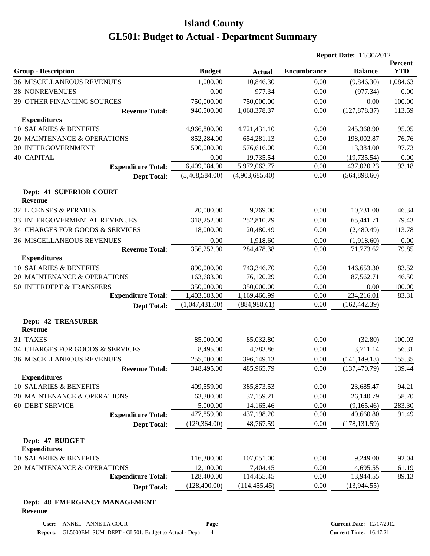|                                             |                |                |                    | <b>Report Date: 11/30/2012</b> |                       |
|---------------------------------------------|----------------|----------------|--------------------|--------------------------------|-----------------------|
| <b>Group - Description</b>                  | <b>Budget</b>  | <b>Actual</b>  | <b>Encumbrance</b> | <b>Balance</b>                 | Percent<br><b>YTD</b> |
| <b>36 MISCELLANEOUS REVENUES</b>            | 1,000.00       | 10,846.30      | 0.00               | (9,846.30)                     | 1,084.63              |
| <b>38 NONREVENUES</b>                       | 0.00           | 977.34         | 0.00               | (977.34)                       | 0.00                  |
| 39 OTHER FINANCING SOURCES                  | 750,000.00     | 750,000.00     | 0.00               | 0.00                           | 100.00                |
| <b>Revenue Total:</b>                       | 940,500.00     | 1,068,378.37   | 0.00               | (127, 878.37)                  | 113.59                |
| <b>Expenditures</b>                         |                |                |                    |                                |                       |
| 10 SALARIES & BENEFITS                      | 4,966,800.00   | 4,721,431.10   | 0.00               | 245,368.90                     | 95.05                 |
| 20 MAINTENANCE & OPERATIONS                 | 852,284.00     | 654,281.13     | 0.00               | 198,002.87                     | 76.76                 |
| <b>30 INTERGOVERNMENT</b>                   | 590,000.00     | 576,616.00     | 0.00               | 13,384.00                      | 97.73                 |
| <b>40 CAPITAL</b>                           | 0.00           | 19,735.54      | 0.00               | (19, 735.54)                   | 0.00                  |
| <b>Expenditure Total:</b>                   | 6,409,084.00   | 5,972,063.77   | 0.00               | 437,020.23                     | 93.18                 |
| <b>Dept Total:</b>                          | (5,468,584.00) | (4,903,685.40) | 0.00               | (564,898.60)                   |                       |
| Dept: 41 SUPERIOR COURT<br><b>Revenue</b>   |                |                |                    |                                |                       |
| 32 LICENSES & PERMITS                       | 20,000.00      | 9,269.00       | 0.00               | 10,731.00                      | 46.34                 |
| 33 INTERGOVERMENTAL REVENUES                | 318,252.00     | 252,810.29     | 0.00               | 65,441.71                      | 79.43                 |
| 34 CHARGES FOR GOODS & SERVICES             | 18,000.00      | 20,480.49      | 0.00               | (2,480.49)                     | 113.78                |
| <b>36 MISCELLANEOUS REVENUES</b>            | 0.00           | 1,918.60       | 0.00               | (1,918.60)                     | 0.00                  |
| <b>Revenue Total:</b>                       | 356,252.00     | 284,478.38     | 0.00               | 71,773.62                      | 79.85                 |
| <b>Expenditures</b>                         |                |                |                    |                                |                       |
| 10 SALARIES & BENEFITS                      | 890,000.00     | 743,346.70     | 0.00               | 146,653.30                     | 83.52                 |
| 20 MAINTENANCE & OPERATIONS                 | 163,683.00     | 76,120.29      | 0.00               | 87,562.71                      | 46.50                 |
| 50 INTERDEPT & TRANSFERS                    | 350,000.00     | 350,000.00     | 0.00               | 0.00                           | 100.00                |
| <b>Expenditure Total:</b>                   | 1,403,683.00   | 1,169,466.99   | 0.00               | 234,216.01                     | 83.31                 |
| <b>Dept Total:</b>                          | (1,047,431.00) | (884,988.61)   | 0.00               | (162, 442.39)                  |                       |
| <b>Dept: 42 TREASURER</b><br><b>Revenue</b> |                |                |                    |                                |                       |
| 31 TAXES                                    | 85,000.00      | 85,032.80      | 0.00               | (32.80)                        | 100.03                |
| 34 CHARGES FOR GOODS & SERVICES             | 8,495.00       | 4,783.86       | 0.00               | 3,711.14                       | 56.31                 |
| <b>36 MISCELLANEOUS REVENUES</b>            | 255,000.00     | 396,149.13     | 0.00               | (141, 149.13)                  | 155.35                |
| <b>Revenue Total:</b>                       | 348,495.00     | 485,965.79     | 0.00               | (137, 470.79)                  | 139.44                |
| <b>Expenditures</b>                         |                |                |                    |                                |                       |
| 10 SALARIES & BENEFITS                      | 409,559.00     | 385,873.53     | 0.00               | 23,685.47                      | 94.21                 |
| 20 MAINTENANCE & OPERATIONS                 | 63,300.00      | 37,159.21      | 0.00               | 26,140.79                      | 58.70                 |
| 60 DEBT SERVICE                             | 5,000.00       | 14,165.46      | 0.00               | (9,165.46)                     | 283.30                |
| <b>Expenditure Total:</b>                   | 477,859.00     | 437,198.20     | 0.00               | 40,660.80                      | 91.49                 |
| <b>Dept Total:</b>                          | (129, 364.00)  | 48,767.59      | 0.00               | (178, 131.59)                  |                       |
| Dept: 47 BUDGET<br><b>Expenditures</b>      |                |                |                    |                                |                       |
| 10 SALARIES & BENEFITS                      | 116,300.00     | 107,051.00     | 0.00               | 9,249.00                       | 92.04                 |
| 20 MAINTENANCE & OPERATIONS                 | 12,100.00      | 7,404.45       | 0.00               | 4,695.55                       | <u>61.19</u>          |
| <b>Expenditure Total:</b>                   | 128,400.00     | 114,455.45     | 0.00               | 13,944.55                      | 89.13                 |
| <b>Dept Total:</b>                          | (128,400.00)   | (114, 455.45)  | 0.00               | (13,944.55)                    |                       |
| Dept: 48 EMERGENCY MANAGEMENT               |                |                |                    |                                |                       |

#### **Revenue**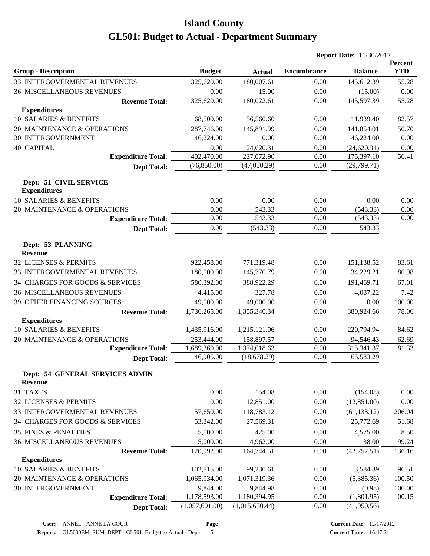|                                               |                |                |                    | <b>Report Date: 11/30/2012</b> |                       |
|-----------------------------------------------|----------------|----------------|--------------------|--------------------------------|-----------------------|
| <b>Group - Description</b>                    | <b>Budget</b>  | <b>Actual</b>  | <b>Encumbrance</b> | <b>Balance</b>                 | Percent<br><b>YTD</b> |
| 33 INTERGOVERMENTAL REVENUES                  | 325,620.00     | 180,007.61     | 0.00               | 145,612.39                     | 55.28                 |
| <b>36 MISCELLANEOUS REVENUES</b>              | 0.00           | 15.00          | 0.00               | (15.00)                        | 0.00                  |
| <b>Revenue Total:</b>                         | 325,620.00     | 180,022.61     | 0.00               | 145,597.39                     | 55.28                 |
| <b>Expenditures</b>                           |                |                |                    |                                |                       |
| 10 SALARIES & BENEFITS                        | 68,500.00      | 56,560.60      | 0.00               | 11,939.40                      | 82.57                 |
| 20 MAINTENANCE & OPERATIONS                   | 287,746.00     | 145,891.99     | 0.00               | 141,854.01                     | 50.70                 |
| <b>30 INTERGOVERNMENT</b>                     | 46,224.00      | 0.00           | 0.00               | 46,224.00                      | 0.00                  |
| <b>40 CAPITAL</b>                             | 0.00           | 24,620.31      | 0.00               | (24, 620.31)                   | 0.00                  |
| <b>Expenditure Total:</b>                     | 402,470.00     | 227,072.90     | $0.00\,$           | 175,397.10                     | 56.41                 |
| <b>Dept Total:</b>                            | (76,850.00)    | (47,050.29)    | 0.00               | (29,799.71)                    |                       |
| Dept: 51 CIVIL SERVICE<br><b>Expenditures</b> |                |                |                    |                                |                       |
| 10 SALARIES & BENEFITS                        | 0.00           | 0.00           | 0.00               | 0.00                           | 0.00                  |
| 20 MAINTENANCE & OPERATIONS                   | 0.00           | 543.33         | 0.00               | (543.33)                       | 0.00                  |
| <b>Expenditure Total:</b>                     | 0.00           | 543.33         | 0.00               | (543.33)                       | 0.00                  |
| <b>Dept Total:</b>                            | 0.00           | (543.33)       | 0.00               | 543.33                         |                       |
| Dept: 53 PLANNING<br><b>Revenue</b>           |                |                |                    |                                |                       |
| 32 LICENSES & PERMITS                         | 922,458.00     | 771,319.48     | 0.00               | 151,138.52                     | 83.61                 |
| 33 INTERGOVERMENTAL REVENUES                  | 180,000.00     | 145,770.79     | 0.00               | 34,229.21                      | 80.98                 |
| 34 CHARGES FOR GOODS & SERVICES               | 580,392.00     | 388,922.29     | 0.00               | 191,469.71                     | 67.01                 |
| <b>36 MISCELLANEOUS REVENUES</b>              | 4,415.00       | 327.78         | 0.00               | 4,087.22                       | 7.42                  |
| 39 OTHER FINANCING SOURCES                    | 49,000.00      | 49,000.00      | 0.00               | 0.00                           | 100.00                |
| <b>Revenue Total:</b>                         | 1,736,265.00   | 1,355,340.34   | 0.00               | 380,924.66                     | 78.06                 |
| <b>Expenditures</b>                           |                |                |                    |                                |                       |
| 10 SALARIES & BENEFITS                        | 1,435,916.00   | 1,215,121.06   | 0.00               | 220,794.94                     | 84.62                 |
| 20 MAINTENANCE & OPERATIONS                   | 253,444.00     | 158,897.57     | 0.00               | 94,546.43                      | 62.69                 |
| <b>Expenditure Total:</b>                     | 1,689,360.00   | 1,374,018.63   | 0.00               | 315,341.37                     | 81.33                 |
| <b>Dept Total:</b>                            | 46,905.00      | (18, 678.29)   | 0.00               | 65,583.29                      |                       |
| Dept: 54 GENERAL SERVICES ADMIN<br>Revenue    |                |                |                    |                                |                       |
| 31 TAXES                                      | $0.00\,$       | 154.08         | 0.00               | (154.08)                       | 0.00                  |
| 32 LICENSES & PERMITS                         | 0.00           | 12,851.00      | 0.00               | (12,851.00)                    | 0.00                  |
| 33 INTERGOVERMENTAL REVENUES                  | 57,650.00      | 118,783.12     | 0.00               | (61, 133.12)                   | 206.04                |
| 34 CHARGES FOR GOODS & SERVICES               | 53,342.00      | 27,569.31      | 0.00               | 25,772.69                      | 51.68                 |
| <b>35 FINES &amp; PENALTIES</b>               | 5,000.00       | 425.00         | 0.00               | 4,575.00                       | 8.50                  |
| <b>36 MISCELLANEOUS REVENUES</b>              | 5,000.00       | 4,962.00       | 0.00               | 38.00                          | 99.24                 |
| <b>Revenue Total:</b>                         | 120,992.00     | 164,744.51     | 0.00               | (43, 752.51)                   | 136.16                |
| <b>Expenditures</b>                           |                |                |                    |                                |                       |
| 10 SALARIES & BENEFITS                        | 102,815.00     | 99,230.61      | 0.00               | 3,584.39                       | 96.51                 |
| 20 MAINTENANCE & OPERATIONS                   | 1,065,934.00   | 1,071,319.36   | 0.00               | (5,385.36)                     | 100.50                |
| <b>30 INTERGOVERNMENT</b>                     | 9,844.00       | 9,844.98       | 0.00               | (0.98)                         | 100.00                |
| <b>Expenditure Total:</b>                     | 1,178,593.00   | 1,180,394.95   | 0.00               | (1,801.95)                     | 100.15                |
| <b>Dept Total:</b>                            | (1,057,601.00) | (1,015,650.44) | $0.00\,$           | (41,950.56)                    |                       |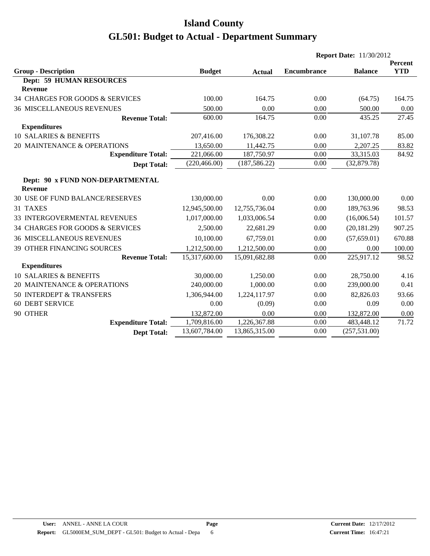|                                                    |               |               |                    | <b>Report Date: 11/30/2012</b> |                       |  |  |
|----------------------------------------------------|---------------|---------------|--------------------|--------------------------------|-----------------------|--|--|
| <b>Group - Description</b>                         | <b>Budget</b> | <b>Actual</b> | <b>Encumbrance</b> | <b>Balance</b>                 | Percent<br><b>YTD</b> |  |  |
| <b>Dept: 59 HUMAN RESOURCES</b>                    |               |               |                    |                                |                       |  |  |
| <b>Revenue</b>                                     |               |               |                    |                                |                       |  |  |
| 34 CHARGES FOR GOODS & SERVICES                    | 100.00        | 164.75        | 0.00               | (64.75)                        | 164.75                |  |  |
| <b>36 MISCELLANEOUS REVENUES</b>                   | 500.00        | 0.00          | 0.00               | 500.00                         | 0.00                  |  |  |
| <b>Revenue Total:</b>                              | 600.00        | 164.75        | 0.00               | 435.25                         | 27.45                 |  |  |
| <b>Expenditures</b>                                |               |               |                    |                                |                       |  |  |
| <b>10 SALARIES &amp; BENEFITS</b>                  | 207,416.00    | 176,308.22    | 0.00               | 31,107.78                      | 85.00                 |  |  |
| 20 MAINTENANCE & OPERATIONS                        | 13,650.00     | 11,442.75     | 0.00               | 2,207.25                       | 83.82                 |  |  |
| <b>Expenditure Total:</b>                          | 221,066.00    | 187,750.97    | 0.00               | 33,315.03                      | 84.92                 |  |  |
| <b>Dept Total:</b>                                 | (220, 466.00) | (187, 586.22) | 0.00               | (32,879.78)                    |                       |  |  |
| Dept: 90 x FUND NON-DEPARTMENTAL<br><b>Revenue</b> |               |               |                    |                                |                       |  |  |
| <b>30 USE OF FUND BALANCE/RESERVES</b>             | 130,000.00    | 0.00          | 0.00               | 130,000.00                     | 0.00                  |  |  |
| 31 TAXES                                           | 12,945,500.00 | 12,755,736.04 | 0.00               | 189,763.96                     | 98.53                 |  |  |
| 33 INTERGOVERMENTAL REVENUES                       | 1,017,000.00  | 1,033,006.54  | 0.00               | (16,006.54)                    | 101.57                |  |  |
| 34 CHARGES FOR GOODS & SERVICES                    | 2,500.00      | 22,681.29     | 0.00               | (20, 181.29)                   | 907.25                |  |  |
| <b>36 MISCELLANEOUS REVENUES</b>                   | 10,100.00     | 67,759.01     | 0.00               | (57,659.01)                    | 670.88                |  |  |
| 39 OTHER FINANCING SOURCES                         | 1,212,500.00  | 1,212,500.00  | 0.00               | 0.00                           | 100.00                |  |  |
| <b>Revenue Total:</b>                              | 15,317,600.00 | 15,091,682.88 | 0.00               | 225,917.12                     | 98.52                 |  |  |
| <b>Expenditures</b>                                |               |               |                    |                                |                       |  |  |
| <b>10 SALARIES &amp; BENEFITS</b>                  | 30,000.00     | 1,250.00      | 0.00               | 28,750.00                      | 4.16                  |  |  |
| 20 MAINTENANCE & OPERATIONS                        | 240,000.00    | 1,000.00      | 0.00               | 239,000.00                     | 0.41                  |  |  |
| 50 INTERDEPT & TRANSFERS                           | 1,306,944.00  | 1,224,117.97  | 0.00               | 82,826.03                      | 93.66                 |  |  |
| <b>60 DEBT SERVICE</b>                             | 0.00          | (0.09)        | 0.00               | 0.09                           | 0.00                  |  |  |
| 90 OTHER                                           | 132,872.00    | 0.00          | 0.00               | 132,872.00                     | 0.00                  |  |  |
| <b>Expenditure Total:</b>                          | 1,709,816.00  | 1,226,367.88  | 0.00               | 483,448.12                     | 71.72                 |  |  |
| <b>Dept Total:</b>                                 | 13,607,784.00 | 13,865,315.00 | 0.00               | (257, 531.00)                  |                       |  |  |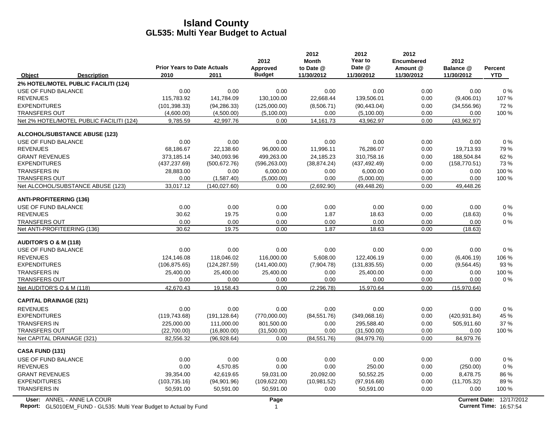|                                                                                                  | <b>Prior Years to Date Actuals</b> |               | 2012<br>Approved     | 2012<br><b>Month</b><br>to Date @ | 2012<br>Year to<br>Date @ | 2012<br><b>Encumbered</b><br>Amount @ | 2012<br>Balance @ | Percent                                                          |
|--------------------------------------------------------------------------------------------------|------------------------------------|---------------|----------------------|-----------------------------------|---------------------------|---------------------------------------|-------------------|------------------------------------------------------------------|
| Object<br><b>Description</b>                                                                     | 2010                               | 2011          | <b>Budget</b>        | 11/30/2012                        | 11/30/2012                | 11/30/2012                            | 11/30/2012        | <b>YTD</b>                                                       |
| 2% HOTEL/MOTEL PUBLIC FACILITI (124)                                                             |                                    |               |                      |                                   |                           |                                       |                   |                                                                  |
| USE OF FUND BALANCE                                                                              | 0.00                               | 0.00          | 0.00                 | 0.00                              | 0.00                      | 0.00                                  | 0.00              | $0\%$                                                            |
| <b>REVENUES</b>                                                                                  | 115,783.92                         | 141,784.09    | 130,100.00           | 22,668.44                         | 139,506.01                | 0.00                                  | (9,406.01)        | 107%                                                             |
| <b>EXPENDITURES</b>                                                                              | (101, 398.33)                      | (94, 286.33)  | (125,000.00)         | (8,506.71)                        | (90, 443.04)              | 0.00                                  | (34, 556.96)      | 72%                                                              |
| <b>TRANSFERS OUT</b>                                                                             | (4,600.00)                         | (4,500.00)    | (5,100.00)           | 0.00                              | (5,100.00)                | 0.00                                  | 0.00              | 100 %                                                            |
| Net 2% HOTEL/MOTEL PUBLIC FACILITI (124)                                                         | 9,785.59                           | 42,997.76     | 0.00                 | 14, 161. 73                       | 43,962.97                 | 0.00                                  | (43,962.97)       |                                                                  |
| <b>ALCOHOL/SUBSTANCE ABUSE (123)</b>                                                             |                                    |               |                      |                                   |                           |                                       |                   |                                                                  |
| USE OF FUND BALANCE                                                                              | 0.00                               | 0.00          | 0.00                 | 0.00                              | 0.00                      | 0.00                                  | 0.00              | $0\%$                                                            |
| <b>REVENUES</b>                                                                                  | 68,186.67                          | 22,138.60     | 96,000.00            | 11,996.11                         | 76,286.07                 | 0.00                                  | 19,713.93         | 79 %                                                             |
| <b>GRANT REVENUES</b>                                                                            | 373,185.14                         | 340,093.96    | 499,263.00           | 24,185.23                         | 310,758.16                | 0.00                                  | 188,504.84        | 62%                                                              |
| <b>EXPENDITURES</b>                                                                              | (437, 237.69)                      | (500, 672.76) | (596, 263.00)        | (38, 874.24)                      | (437, 492.49)             | 0.00                                  | (158, 770.51)     | 73%                                                              |
| <b>TRANSFERS IN</b>                                                                              | 28,883.00                          | 0.00          | 6,000.00             | 0.00                              | 6,000.00                  | 0.00                                  | 0.00              | 100 %                                                            |
| <b>TRANSFERS OUT</b>                                                                             | 0.00                               | (1,587.40)    | (5,000.00)           | 0.00                              | (5,000.00)                | 0.00                                  | 0.00              | 100 %                                                            |
| Net ALCOHOL/SUBSTANCE ABUSE (123)                                                                | 33,017.12                          | (140.027.60)  | 0.00                 | (2,692.90)                        | (49, 448.26)              | 0.00                                  | 49,448.26         |                                                                  |
| <b>ANTI-PROFITEERING (136)</b>                                                                   |                                    |               |                      |                                   |                           |                                       |                   |                                                                  |
| USE OF FUND BALANCE                                                                              | 0.00                               | 0.00          | 0.00                 | 0.00                              | 0.00                      | 0.00                                  | 0.00              | 0%                                                               |
| <b>REVENUES</b>                                                                                  | 30.62                              | 19.75         | 0.00                 | 1.87                              | 18.63                     | 0.00                                  | (18.63)           | 0%                                                               |
| <b>TRANSFERS OUT</b>                                                                             | 0.00                               | 0.00          | 0.00                 | 0.00                              | 0.00                      | 0.00                                  | 0.00              | 0%                                                               |
| Net ANTI-PROFITEERING (136)                                                                      | 30.62                              | 19.75         | 0.00                 | 1.87                              | 18.63                     | 0.00                                  | (18.63)           |                                                                  |
| AUDITOR'S O & M (118)                                                                            |                                    |               |                      |                                   |                           |                                       |                   |                                                                  |
| USE OF FUND BALANCE                                                                              | 0.00                               | 0.00          | 0.00                 | 0.00                              | 0.00                      | 0.00                                  | 0.00              | 0%                                                               |
| <b>REVENUES</b>                                                                                  | 124,146.08                         | 118,046.02    | 116,000.00           | 5,608.00                          | 122,406.19                | 0.00                                  | (6,406.19)        | 106 %                                                            |
| <b>EXPENDITURES</b>                                                                              | (106, 875.65)                      | (124, 287.59) | (141, 400.00)        | (7,904.78)                        | (131, 835.55)             | 0.00                                  | (9, 564.45)       | 93 %                                                             |
| <b>TRANSFERS IN</b>                                                                              | 25,400.00                          | 25,400.00     | 25,400.00            | 0.00                              | 25,400.00                 | 0.00                                  | 0.00              | 100 %                                                            |
| <b>TRANSFERS OUT</b>                                                                             | 0.00                               | 0.00          | 0.00                 | 0.00                              | 0.00                      | 0.00                                  | 0.00              | 0%                                                               |
| Net AUDITOR'S O & M (118)                                                                        | 42,670.43                          | 19,158.43     | 0.00                 | (2, 296.78)                       | 15,970.64                 | 0.00                                  | (15,970.64)       |                                                                  |
| <b>CAPITAL DRAINAGE (321)</b>                                                                    |                                    |               |                      |                                   |                           |                                       |                   |                                                                  |
| <b>REVENUES</b>                                                                                  | 0.00                               | 0.00          | 0.00                 | 0.00                              | 0.00                      | 0.00                                  | 0.00              | 0%                                                               |
| <b>EXPENDITURES</b>                                                                              | (119, 743.68)                      | (191, 128.64) | (770,000.00)         | (84, 551.76)                      | (349,068.16)              | 0.00                                  | (420, 931.84)     | 45 %                                                             |
| <b>TRANSFERS IN</b>                                                                              | 225,000.00                         | 111,000.00    | 801,500.00           | 0.00                              | 295,588.40                | 0.00                                  | 505,911.60        | 37 %                                                             |
| <b>TRANSFERS OUT</b>                                                                             | (22,700.00)                        | (16,800.00)   | (31,500.00)          | 0.00                              | (31,500.00)               | 0.00                                  | 0.00              | 100 %                                                            |
| Net CAPITAL DRAINAGE (321)                                                                       | 82,556.32                          | (96, 928.64)  | 0.00                 | (84, 551.76)                      | (84,979.76)               | 0.00                                  | 84,979.76         |                                                                  |
| <b>CASA FUND (131)</b>                                                                           |                                    |               |                      |                                   |                           |                                       |                   |                                                                  |
| USE OF FUND BALANCE                                                                              | 0.00                               | 0.00          | 0.00                 | 0.00                              | 0.00                      | 0.00                                  | 0.00              | 0%                                                               |
| <b>REVENUES</b>                                                                                  | 0.00                               | 4,570.85      | 0.00                 | 0.00                              | 250.00                    | 0.00                                  | (250.00)          | 0%                                                               |
| <b>GRANT REVENUES</b>                                                                            | 39,354.00                          | 42,619.65     | 59,031.00            | 20,092.00                         | 50,552.25                 | 0.00                                  | 8,478.75          | 86 %                                                             |
| <b>EXPENDITURES</b>                                                                              | (103, 735.16)                      | (94,901.96)   | (109, 622.00)        | (10, 981.52)                      | (97, 916.68)              | 0.00                                  | (11,705.32)       | 89%                                                              |
| <b>TRANSFERS IN</b>                                                                              | 50,591.00                          | 50,591.00     | 50,591.00            | 0.00                              | 50,591.00                 | 0.00                                  | 0.00              | 100 %                                                            |
| User: ANNEL - ANNE LA COUR<br>Report: GL5010EM_FUND - GL535: Multi Year Budget to Actual by Fund |                                    |               | Page<br>$\mathbf{1}$ |                                   |                           |                                       |                   | <b>Current Date: 12/17/2012</b><br><b>Current Time: 16:57:54</b> |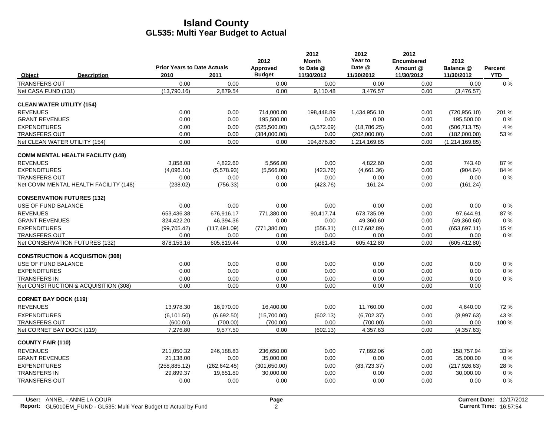|                                             | <b>Prior Years to Date Actuals</b> |               | 2012<br>Approved | 2012<br><b>Month</b><br>to Date @ | 2012<br>Year to<br>Date @ | 2012<br><b>Encumbered</b><br>Amount @ | 2012<br>Balance @ | Percent    |
|---------------------------------------------|------------------------------------|---------------|------------------|-----------------------------------|---------------------------|---------------------------------------|-------------------|------------|
| <b>Description</b><br>Object                | 2010                               | 2011          | <b>Budget</b>    | 11/30/2012                        | 11/30/2012                | 11/30/2012                            | 11/30/2012        | <b>YTD</b> |
| <b>TRANSFERS OUT</b>                        | 0.00                               | 0.00          | 0.00             | 0.00                              | 0.00                      | 0.00                                  | 0.00              | $0\%$      |
| Net CASA FUND (131)                         | (13,790.16)                        | 2,879.54      | 0.00             | 9.110.48                          | 3.476.57                  | 0.00                                  | (3,476.57)        |            |
| <b>CLEAN WATER UTILITY (154)</b>            |                                    |               |                  |                                   |                           |                                       |                   |            |
| <b>REVENUES</b>                             | 0.00                               | 0.00          | 714,000.00       | 198,448.89                        | 1,434,956.10              | 0.00                                  | (720, 956.10)     | 201 %      |
| <b>GRANT REVENUES</b>                       | 0.00                               | 0.00          | 195,500.00       | 0.00                              | 0.00                      | 0.00                                  | 195,500.00        | $0\%$      |
| <b>EXPENDITURES</b>                         | 0.00                               | 0.00          | (525,500.00)     | (3,572.09)                        | (18, 786.25)              | 0.00                                  | (506, 713.75)     | 4 %        |
| <b>TRANSFERS OUT</b>                        | 0.00                               | 0.00          | (384,000.00)     | 0.00                              | (202,000.00)              | 0.00                                  | (182,000.00)      | 53%        |
| Net CLEAN WATER UTILITY (154)               | 0.00                               | 0.00          | 0.00             | 194,876.80                        | 1,214,169.85              | 0.00                                  | (1, 214, 169.85)  |            |
| <b>COMM MENTAL HEALTH FACILITY (148)</b>    |                                    |               |                  |                                   |                           |                                       |                   |            |
| <b>REVENUES</b>                             | 3,858.08                           | 4,822.60      | 5,566.00         | 0.00                              | 4,822.60                  | 0.00                                  | 743.40            | 87%        |
| <b>EXPENDITURES</b>                         | (4,096.10)                         | (5,578.93)    | (5,566.00)       | (423.76)                          | (4,661.36)                | 0.00                                  | (904.64)          | 84 %       |
| <b>TRANSFERS OUT</b>                        | 0.00                               | 0.00          | 0.00             | 0.00                              | 0.00                      | 0.00                                  | 0.00              | $0\%$      |
| Net COMM MENTAL HEALTH FACILITY (148)       | (238.02)                           | (756.33)      | 0.00             | (423.76)                          | 161.24                    | 0.00                                  | (161.24)          |            |
| <b>CONSERVATION FUTURES (132)</b>           |                                    |               |                  |                                   |                           |                                       |                   |            |
| USE OF FUND BALANCE                         | 0.00                               | 0.00          | 0.00             | 0.00                              | 0.00                      | 0.00                                  | 0.00              | 0%         |
| <b>REVENUES</b>                             | 653,436.38                         | 676,916.17    | 771,380.00       | 90.417.74                         | 673,735.09                | 0.00                                  | 97,644.91         | 87%        |
| <b>GRANT REVENUES</b>                       | 324,422.20                         | 46,394.36     | 0.00             | 0.00                              | 49,360.60                 | 0.00                                  | (49,360.60)       | $0\%$      |
| <b>EXPENDITURES</b>                         | (99,705.42)                        | (117, 491.09) | (771, 380.00)    | (556.31)                          | (117, 682.89)             | 0.00                                  | (653, 697.11)     | 15 %       |
| <b>TRANSFERS OUT</b>                        | 0.00                               | 0.00          | 0.00             | 0.00                              | 0.00                      | 0.00                                  | 0.00              | $0\%$      |
| Net CONSERVATION FUTURES (132)              | 878,153.16                         | 605,819.44    | 0.00             | 89,861.43                         | 605,412.80                | 0.00                                  | (605, 412.80)     |            |
| <b>CONSTRUCTION &amp; ACQUISITION (308)</b> |                                    |               |                  |                                   |                           |                                       |                   |            |
| USE OF FUND BALANCE                         | 0.00                               | 0.00          | 0.00             | 0.00                              | 0.00                      | 0.00                                  | 0.00              | $0\%$      |
| <b>EXPENDITURES</b>                         | 0.00                               | 0.00          | 0.00             | 0.00                              | 0.00                      | 0.00                                  | 0.00              | $0\%$      |
| <b>TRANSFERS IN</b>                         | 0.00                               | 0.00          | 0.00             | 0.00                              | 0.00                      | 0.00                                  | 0.00              | $0\%$      |
| Net CONSTRUCTION & ACQUISITION (308)        | 0.00                               | 0.00          | 0.00             | 0.00                              | 0.00                      | 0.00                                  | 0.00              |            |
| <b>CORNET BAY DOCK (119)</b>                |                                    |               |                  |                                   |                           |                                       |                   |            |
| <b>REVENUES</b>                             | 13,978.30                          | 16,970.00     | 16,400.00        | 0.00                              | 11,760.00                 | 0.00                                  | 4,640.00          | 72 %       |
| <b>EXPENDITURES</b>                         | (6, 101.50)                        | (6,692.50)    | (15,700.00)      | (602.13)                          | (6,702.37)                | 0.00                                  | (8,997.63)        | 43 %       |
| <b>TRANSFERS OUT</b>                        | (600.00)                           | (700.00)      | (700.00)         | 0.00                              | (700.00)                  | 0.00                                  | 0.00              | 100 %      |
| Net CORNET BAY DOCK (119)                   | 7,276.80                           | 9,577.50      | 0.00             | (602.13)                          | 4,357.63                  | 0.00                                  | (4,357.63)        |            |
| <b>COUNTY FAIR (110)</b>                    |                                    |               |                  |                                   |                           |                                       |                   |            |
| <b>REVENUES</b>                             | 211.050.32                         | 246,188.83    | 236,650.00       | 0.00                              | 77.892.06                 | 0.00                                  | 158,757.94        | 33 %       |
| <b>GRANT REVENUES</b>                       | 21,138.00                          | 0.00          | 35,000.00        | 0.00                              | 0.00                      | 0.00                                  | 35,000.00         | $0\%$      |
| <b>EXPENDITURES</b>                         | (258, 885.12)                      | (262, 642.45) | (301,650.00)     | 0.00                              | (83, 723.37)              | 0.00                                  | (217, 926.63)     | 28 %       |
| <b>TRANSFERS IN</b>                         | 29,899.37                          | 19,651.80     | 30,000.00        | 0.00                              | 0.00                      | 0.00                                  | 30,000.00         | $0\%$      |
| <b>TRANSFERS OUT</b>                        | 0.00                               | 0.00          | 0.00             | 0.00                              | 0.00                      | 0.00                                  | 0.00              | 0%         |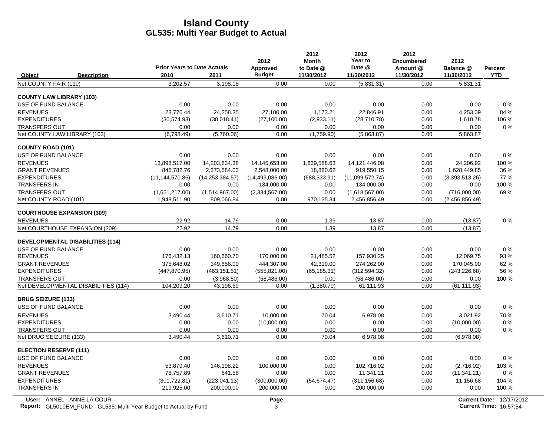|                                               |                                    |                              | 2012                   | 2012<br><b>Month</b> | 2012<br>Year to                | 2012<br><b>Encumbered</b> | 2012                           |                |
|-----------------------------------------------|------------------------------------|------------------------------|------------------------|----------------------|--------------------------------|---------------------------|--------------------------------|----------------|
|                                               | <b>Prior Years to Date Actuals</b> |                              | Approved               | to Date @            | Date @                         | Amount @                  | Balance @                      | <b>Percent</b> |
| Object<br><b>Description</b>                  | 2010                               | 2011                         | <b>Budget</b>          | 11/30/2012           | 11/30/2012                     | 11/30/2012                | 11/30/2012                     | <b>YTD</b>     |
| Net COUNTY FAIR (110)                         | 3,202.57                           | 3.198.18                     | 0.00                   | 0.00                 | (5,831.31)                     | 0.00                      | 5.831.31                       |                |
| <b>COUNTY LAW LIBRARY (103)</b>               |                                    |                              |                        |                      |                                |                           |                                |                |
| USE OF FUND BALANCE                           | 0.00                               | 0.00                         | 0.00                   | 0.00                 | 0.00                           | 0.00                      | 0.00                           | 0%             |
| <b>REVENUES</b>                               | 23,776.44                          | 24.258.35                    | 27.100.00              | 1,173.21             | 22.846.91                      | 0.00                      | 4,253.09                       | 84 %           |
| <b>EXPENDITURES</b>                           | (30,574.93)                        | (30,018.41)                  | (27, 100.00)           | (2,933.11)           | (28,710.78)                    | 0.00                      | 1,610.78                       | 106 %          |
| <b>TRANSFERS OUT</b>                          | 0.00                               | 0.00                         | 0.00                   | 0.00                 | 0.00                           | 0.00                      | 0.00                           | 0%             |
| Net COUNTY LAW LIBRARY (103)                  | (6,798.49)                         | (5,760.06)                   | 0.00                   | (1,759.90)           | (5,863.87)                     | 0.00                      | 5,863.87                       |                |
| <b>COUNTY ROAD (101)</b>                      |                                    |                              |                        |                      |                                |                           |                                |                |
| USE OF FUND BALANCE                           | 0.00                               | 0.00                         | 0.00                   | 0.00                 | 0.00                           | 0.00                      | 0.00                           | 0%             |
| <b>REVENUES</b>                               | 13,898,517.00                      | 14,203,834.38                | 14,145,653.00          | 1,639,588.63         | 14,121,446.08                  | 0.00                      | 24,206.92                      | 100 %          |
| <b>GRANT REVENUES</b>                         | 845.782.76                         | 2,373,584.03                 | 2,548,000.00           | 18,880.62            | 919,550.15                     | 0.00                      | 1,628,449.85                   | 36 %           |
| <b>EXPENDITURES</b>                           | (11, 144, 570.86)                  | (14, 253, 384.57)            | (14, 493, 086.00)      | (688, 333.91)        | (11,099,572.74)                | 0.00                      | (3,393,513.26)                 | 77 %           |
| <b>TRANSFERS IN</b>                           | 0.00                               | 0.00                         | 134,000.00             | 0.00                 | 134,000.00                     | 0.00                      | 0.00                           | 100 %          |
| <b>TRANSFERS OUT</b><br>Net COUNTY ROAD (101) | (1,651,217.00)<br>1,948,511.90     | (1,514,967.00)<br>809,066.84 | (2,334,567.00)<br>0.00 | 0.00<br>970,135.34   | (1,618,567.00)<br>2,456,856.49 | 0.00<br>0.00              | (716,000.00)<br>(2,456,856.49) | 69%            |
|                                               |                                    |                              |                        |                      |                                |                           |                                |                |
| <b>COURTHOUSE EXPANSION (309)</b>             |                                    |                              |                        |                      |                                |                           |                                |                |
| <b>REVENUES</b>                               | 22.92                              | 14.79                        | 0.00                   | 1.39                 | 13.87                          | 0.00                      | (13.87)                        | $0\%$          |
| Net COURTHOUSE EXPANSION (309)                | 22.92                              | 14.79                        | 0.00                   | 1.39                 | 13.87                          | 0.00                      | (13.87)                        |                |
| <b>DEVELOPMENTAL DISABILITIES (114)</b>       |                                    |                              |                        |                      |                                |                           |                                |                |
| USE OF FUND BALANCE                           | 0.00                               | 0.00                         | 0.00                   | 0.00                 | 0.00                           | 0.00                      | 0.00                           | $0\%$          |
| <b>REVENUES</b>                               | 176,432.13                         | 160,660.70                   | 170,000.00             | 21,485.52            | 157,930.25                     | 0.00                      | 12,069.75                      | 93%            |
| <b>GRANT REVENUES</b>                         | 375.648.02                         | 349.656.00                   | 444,307.00             | 42,319.00            | 274,262.00                     | 0.00                      | 170.045.00                     | 62%            |
| <b>EXPENDITURES</b>                           | (447, 870.95)                      | (463, 151.51)                | (555, 821.00)          | (65, 185.31)         | (312, 594.32)                  | 0.00                      | (243, 226.68)                  | 56 %           |
| <b>TRANSFERS OUT</b>                          | 0.00                               | (3,968.50)                   | (58, 486.00)           | 0.00                 | (58, 486.00)                   | 0.00                      | 0.00                           | 100 %          |
| Net DEVELOPMENTAL DISABILITIES (114)          | 104,209.20                         | 43,196.69                    | 0.00                   | (1,380.79)           | 61,111.93                      | 0.00                      | (61, 111.93)                   |                |
| <b>DRUG SEIZURE (133)</b>                     |                                    |                              |                        |                      |                                |                           |                                |                |
| <b>USE OF FUND BALANCE</b>                    | 0.00                               | 0.00                         | 0.00                   | 0.00                 | 0.00                           | 0.00                      | 0.00                           | 0%             |
| <b>REVENUES</b>                               | 3,490.44                           | 3,610.71                     | 10,000.00              | 70.04                | 6,978.08                       | 0.00                      | 3,021.92                       | 70 %           |
| <b>EXPENDITURES</b>                           | 0.00                               | 0.00                         | (10,000.00)            | 0.00                 | 0.00                           | 0.00                      | (10,000.00)                    | $0\%$          |
| <b>TRANSFERS OUT</b>                          | 0.00                               | 0.00                         | 0.00                   | 0.00                 | 0.00                           | 0.00                      | 0.00                           | 0%             |
| Net DRUG SEIZURE (133)                        | 3,490.44                           | 3,610.71                     | 0.00                   | 70.04                | 6,978.08                       | 0.00                      | (6,978.08)                     |                |
| <b>ELECTION RESERVE (111)</b>                 |                                    |                              |                        |                      |                                |                           |                                |                |
| USE OF FUND BALANCE                           | 0.00                               | 0.00                         | 0.00                   | 0.00                 | 0.00                           | 0.00                      | 0.00                           | $0\%$          |
| <b>REVENUES</b>                               | 53.879.40                          | 146,198.22                   | 100,000.00             | 0.00                 | 102.716.02                     | 0.00                      | (2,716.02)                     | 103%           |
| <b>GRANT REVENUES</b>                         | 78,757.89                          | 641.58                       | 0.00                   | 0.00                 | 11,341.21                      | 0.00                      | (11, 341.21)                   | $0\%$          |
| <b>EXPENDITURES</b>                           | (301, 722.81)                      | (223,041.13)                 | (300,000.00)           | (54, 674.47)         | (311, 156.68)                  | 0.00                      | 11,156.68                      | 104 %          |
| <b>TRANSFERS IN</b>                           | 219,925.00                         | 200,000.00                   | 200,000.00             | 0.00                 | 200,000.00                     | 0.00                      | 0.00                           | 100 %          |
|                                               |                                    |                              |                        |                      |                                |                           |                                |                |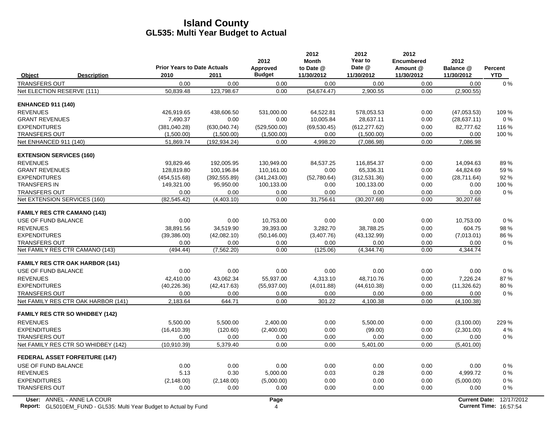|                                 |                                                                    | <b>Prior Years to Date Actuals</b> |               | 2012<br>Approved | 2012<br><b>Month</b><br>to Date @ | 2012<br>Year to<br>Date @ | 2012<br>Encumbered<br>Amount @ | 2012<br>Balance @    | <b>Percent</b>                |
|---------------------------------|--------------------------------------------------------------------|------------------------------------|---------------|------------------|-----------------------------------|---------------------------|--------------------------------|----------------------|-------------------------------|
| Object                          | <b>Description</b>                                                 | 2010                               | 2011          | <b>Budget</b>    | 11/30/2012                        | 11/30/2012                | 11/30/2012                     | 11/30/2012           | <b>YTD</b>                    |
| <b>TRANSFERS OUT</b>            |                                                                    | 0.00                               | 0.00          | 0.00             | 0.00                              | 0.00                      | 0.00                           | 0.00                 | 0%                            |
| Net ELECTION RESERVE (111)      |                                                                    | 50,839.48                          | 123,798.67    | 0.00             | (54, 674.47)                      | 2,900.55                  | 0.00                           | (2,900.55)           |                               |
| <b>ENHANCED 911 (140)</b>       |                                                                    |                                    |               |                  |                                   |                           |                                |                      |                               |
| <b>REVENUES</b>                 |                                                                    | 426,919.65                         | 438,606.50    | 531,000.00       | 64,522.81                         | 578,053.53                | 0.00                           | (47,053.53)          | 109 %                         |
| <b>GRANT REVENUES</b>           |                                                                    | 7,490.37                           | 0.00          | 0.00             | 10,005.84                         | 28,637.11                 | 0.00                           | (28, 637.11)         | 0%                            |
| <b>EXPENDITURES</b>             |                                                                    | (381,040.28)                       | (630, 040.74) | (529, 500.00)    | (69, 530.45)                      | (612, 277.62)             | 0.00                           | 82,777.62            | 116 %                         |
| <b>TRANSFERS OUT</b>            |                                                                    | (1,500.00)                         | (1,500.00)    | (1,500.00)       | 0.00                              | (1,500.00)                | 0.00                           | 0.00                 | 100 %                         |
| Net ENHANCED 911 (140)          |                                                                    | 51,869.74                          | (192, 934.24) | 0.00             | 4,998.20                          | (7,086.98)                | 0.00                           | 7,086.98             |                               |
| <b>EXTENSION SERVICES (160)</b> |                                                                    |                                    |               |                  |                                   |                           |                                |                      |                               |
| <b>REVENUES</b>                 |                                                                    | 93,829.46                          | 192,005.95    | 130,949.00       | 84,537.25                         | 116,854.37                | 0.00                           | 14,094.63            | 89%                           |
| <b>GRANT REVENUES</b>           |                                                                    | 128,819.80                         | 100,196.84    | 110,161.00       | 0.00                              | 65,336.31                 | 0.00                           | 44,824.69            | 59 %                          |
| <b>EXPENDITURES</b>             |                                                                    | (454, 515.68)                      | (392, 555.89) | (341, 243.00)    | (52,780.64)                       | (312, 531.36)             | 0.00                           | (28,711.64)          | 92%                           |
| <b>TRANSFERS IN</b>             |                                                                    | 149,321.00                         | 95,950.00     | 100,133.00       | 0.00                              | 100,133.00                | 0.00                           | 0.00                 | 100 %                         |
| <b>TRANSFERS OUT</b>            |                                                                    | 0.00                               | 0.00          | 0.00             | 0.00                              | 0.00                      | 0.00                           | 0.00                 | 0%                            |
|                                 | Net EXTENSION SERVICES (160)                                       | (82, 545.42)                       | (4,403.10)    | 0.00             | 31,756.61                         | (30, 207.68)              | 0.00                           | 30,207.68            |                               |
|                                 | <b>FAMILY RES CTR CAMANO (143)</b>                                 |                                    |               |                  |                                   |                           |                                |                      |                               |
| USE OF FUND BALANCE             |                                                                    | 0.00                               | 0.00          | 10,753.00        | 0.00                              | 0.00                      | 0.00                           | 10,753.00            | 0%                            |
| <b>REVENUES</b>                 |                                                                    | 38,891.56                          | 34,519.90     | 39,393.00        | 3,282.70                          | 38,788.25                 | 0.00                           | 604.75               | 98 %                          |
| <b>EXPENDITURES</b>             |                                                                    | (39,386.00)                        | (42,082.10)   | (50, 146.00)     | (3,407.76)                        | (43, 132.99)              | 0.00                           | (7,013.01)           | 86 %                          |
| <b>TRANSFERS OUT</b>            |                                                                    | 0.00                               | 0.00          | 0.00             | 0.00                              | 0.00                      | 0.00                           | 0.00                 | 0%                            |
|                                 | Net FAMILY RES CTR CAMANO (143)                                    | (494.44)                           | (7, 562.20)   | 0.00             | (125.06)                          | (4,344.74)                | 0.00                           | 4,344.74             |                               |
|                                 | <b>FAMILY RES CTR OAK HARBOR (141)</b>                             |                                    |               |                  |                                   |                           |                                |                      |                               |
| USE OF FUND BALANCE             |                                                                    | 0.00                               | 0.00          | 0.00             | 0.00                              | 0.00                      | 0.00                           | 0.00                 | 0%                            |
| <b>REVENUES</b>                 |                                                                    | 42.410.00                          | 43.062.34     | 55.937.00        | 4.313.10                          | 48.710.76                 | 0.00                           | 7.226.24             | 87%                           |
| <b>EXPENDITURES</b>             |                                                                    | (40, 226.36)                       | (42, 417.63)  | (55, 937.00)     | (4,011.88)                        | (44, 610.38)              | 0.00                           | (11, 326.62)         | 80%                           |
| <b>TRANSFERS OUT</b>            |                                                                    | 0.00                               | 0.00          | 0.00             | 0.00                              | 0.00                      | 0.00                           | 0.00                 | $0\%$                         |
|                                 | Net FAMILY RES CTR OAK HARBOR (141)                                | 2,183.64                           | 644.71        | 0.00             | 301.22                            | 4,100.38                  | 0.00                           | (4, 100.38)          |                               |
|                                 | <b>FAMILY RES CTR SO WHIDBEY (142)</b>                             |                                    |               |                  |                                   |                           |                                |                      |                               |
| <b>REVENUES</b>                 |                                                                    | 5,500.00                           | 5,500.00      | 2,400.00         | 0.00                              | 5,500.00                  | 0.00                           | (3,100.00)           | 229 %                         |
| <b>EXPENDITURES</b>             |                                                                    | (16, 410.39)                       | (120.60)      | (2,400.00)       | 0.00                              | (99.00)                   | 0.00                           | (2,301.00)           | 4 %                           |
| <b>TRANSFERS OUT</b>            |                                                                    | 0.00                               | 0.00          | 0.00             | 0.00                              | 0.00                      | 0.00                           | 0.00                 | $0\%$                         |
|                                 | Net FAMILY RES CTR SO WHIDBEY (142)                                | (10,910.39)                        | 5,379.40      | 0.00             | 0.00                              | 5,401.00                  | 0.00                           | (5,401.00)           |                               |
|                                 | <b>FEDERAL ASSET FORFEITURE (147)</b>                              |                                    |               |                  |                                   |                           |                                |                      |                               |
| USE OF FUND BALANCE             |                                                                    | 0.00                               | 0.00          | 0.00             | 0.00                              | 0.00                      | 0.00                           | 0.00                 | 0%                            |
| <b>REVENUES</b>                 |                                                                    | 5.13                               | 0.30          | 5,000.00         | 0.03                              | 0.28                      | 0.00                           | 4,999.72             | $0\%$                         |
| <b>EXPENDITURES</b>             |                                                                    | (2, 148.00)                        | (2, 148.00)   | (5,000.00)       | 0.00                              | 0.00                      | 0.00                           | (5,000.00)           | 0%                            |
| <b>TRANSFERS OUT</b>            |                                                                    | 0.00                               | 0.00          | 0.00             | 0.00                              | 0.00                      | 0.00                           | 0.00                 | 0%                            |
|                                 | User: ANNEL - ANNE LA COUR                                         |                                    |               | Page             |                                   |                           |                                | <b>Current Date:</b> | 12/17/2012                    |
|                                 | Report: GL5010EM_FUND - GL535: Multi Year Budget to Actual by Fund |                                    |               | $\overline{4}$   |                                   |                           |                                |                      | <b>Current Time: 16:57:54</b> |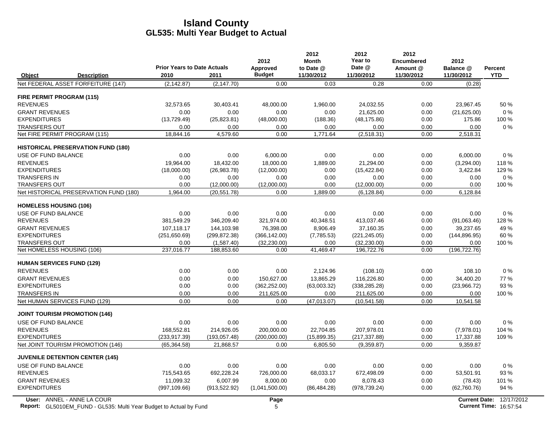|                                      |                                           |                                    |               | 2012           | 2012<br><b>Month</b> | 2012<br>Year to | 2012<br><b>Encumbered</b> | 2012          |                |
|--------------------------------------|-------------------------------------------|------------------------------------|---------------|----------------|----------------------|-----------------|---------------------------|---------------|----------------|
|                                      |                                           | <b>Prior Years to Date Actuals</b> |               | Approved       | to Date @            | Date @          | Amount @                  | Balance @     | <b>Percent</b> |
| Object                               | <b>Description</b>                        | 2010                               | 2011          | <b>Budget</b>  | 11/30/2012           | 11/30/2012      | 11/30/2012                | 11/30/2012    | <b>YTD</b>     |
|                                      | Net FEDERAL ASSET FORFEITURE (147)        | (2, 142.87)                        | (2, 147.70)   | 0.00           | 0.03                 | 0.28            | 0.00                      | (0.28)        |                |
| <b>FIRE PERMIT PROGRAM (115)</b>     |                                           |                                    |               |                |                      |                 |                           |               |                |
| <b>REVENUES</b>                      |                                           | 32,573.65                          | 30,403.41     | 48,000.00      | 1,960.00             | 24,032.55       | 0.00                      | 23,967.45     | 50 %           |
| <b>GRANT REVENUES</b>                |                                           | 0.00                               | 0.00          | 0.00           | 0.00                 | 21.625.00       | 0.00                      | (21,625.00)   | $0\ \%$        |
| <b>EXPENDITURES</b>                  |                                           | (13, 729.49)                       | (25, 823.81)  | (48,000.00)    | (188.36)             | (48, 175.86)    | 0.00                      | 175.86        | 100 %          |
| <b>TRANSFERS OUT</b>                 |                                           | 0.00                               | 0.00          | 0.00           | 0.00                 | 0.00            | 0.00                      | 0.00          | 0%             |
| Net FIRE PERMIT PROGRAM (115)        |                                           | 18,844.16                          | 4,579.60      | 0.00           | 1,771.64             | (2, 518.31)     | 0.00                      | 2,518.31      |                |
|                                      | <b>HISTORICAL PRESERVATION FUND (180)</b> |                                    |               |                |                      |                 |                           |               |                |
| <b>USE OF FUND BALANCE</b>           |                                           | 0.00                               | 0.00          | 6,000.00       | 0.00                 | 0.00            | 0.00                      | 6,000.00      | 0%             |
| <b>REVENUES</b>                      |                                           | 19,964.00                          | 18,432.00     | 18,000.00      | 1,889.00             | 21.294.00       | 0.00                      | (3,294.00)    | 118%           |
| <b>EXPENDITURES</b>                  |                                           | (18,000.00)                        | (26,983.78)   | (12,000.00)    | 0.00                 | (15, 422.84)    | 0.00                      | 3,422.84      | 129 %          |
| <b>TRANSFERS IN</b>                  |                                           | 0.00                               | 0.00          | 0.00           | 0.00                 | 0.00            | 0.00                      | 0.00          | 0%             |
| <b>TRANSFERS OUT</b>                 |                                           | 0.00                               | (12,000.00)   | (12,000.00)    | 0.00                 | (12,000.00)     | 0.00                      | 0.00          | 100 %          |
|                                      | Net HISTORICAL PRESERVATION FUND (180)    | 1,964.00                           | (20.551.78)   | 0.00           | 1,889.00             | (6, 128.84)     | 0.00                      | 6,128.84      |                |
| <b>HOMELESS HOUSING (106)</b>        |                                           |                                    |               |                |                      |                 |                           |               |                |
| <b>USE OF FUND BALANCE</b>           |                                           | 0.00                               | 0.00          | 0.00           | 0.00                 | 0.00            | 0.00                      | 0.00          | 0%             |
| <b>REVENUES</b>                      |                                           | 381.549.29                         | 346.209.40    | 321.974.00     | 40.348.51            | 413.037.46      | 0.00                      | (91,063.46)   | 128 %          |
| <b>GRANT REVENUES</b>                |                                           | 107,118.17                         | 144,103.98    | 76,398.00      | 8,906.49             | 37,160.35       | 0.00                      | 39,237.65     | 49 %           |
| <b>EXPENDITURES</b>                  |                                           | (251,650.69)                       | (299, 872.38) | (366, 142.00)  | (7,785.53)           | (221, 245.05)   | 0.00                      | (144, 896.95) | 60%            |
| <b>TRANSFERS OUT</b>                 |                                           | 0.00                               | (1,587.40)    | (32, 230.00)   | 0.00                 | (32, 230.00)    | 0.00                      | 0.00          | 100 %          |
| Net HOMELESS HOUSING (106)           |                                           | 237,016.77                         | 188,853.60    | 0.00           | 41,469.47            | 196,722.76      | 0.00                      | (196, 722.76) |                |
| <b>HUMAN SERVICES FUND (129)</b>     |                                           |                                    |               |                |                      |                 |                           |               |                |
| <b>REVENUES</b>                      |                                           | 0.00                               | 0.00          | 0.00           | 2,124.96             | (108.10)        | 0.00                      | 108.10        | 0%             |
| <b>GRANT REVENUES</b>                |                                           | 0.00                               | 0.00          | 150.627.00     | 13.865.29            | 116.226.80      | 0.00                      | 34.400.20     | 77 %           |
| <b>EXPENDITURES</b>                  |                                           | 0.00                               | 0.00          | (362, 252.00)  | (63,003.32)          | (338, 285.28)   | 0.00                      | (23,966.72)   | 93 %           |
| <b>TRANSFERS IN</b>                  |                                           | 0.00                               | 0.00          | 211,625.00     | 0.00                 | 211,625.00      | 0.00                      | 0.00          | 100 %          |
| Net HUMAN SERVICES FUND (129)        |                                           | 0.00                               | 0.00          | 0.00           | (47, 013.07)         | (10, 541.58)    | 0.00                      | 10,541.58     |                |
| <b>JOINT TOURISM PROMOTION (146)</b> |                                           |                                    |               |                |                      |                 |                           |               |                |
| USE OF FUND BALANCE                  |                                           | 0.00                               | 0.00          | 0.00           | 0.00                 | 0.00            | 0.00                      | 0.00          | $0\%$          |
| <b>REVENUES</b>                      |                                           | 168,552.81                         | 214,926.05    | 200,000.00     | 22,704.85            | 207,978.01      | 0.00                      | (7,978.01)    | 104 %          |
| <b>EXPENDITURES</b>                  |                                           | (233, 917, 39)                     | (193, 057.48) | (200,000.00)   | (15,899.35)          | (217, 337.88)   | 0.00                      | 17,337.88     | 109 %          |
|                                      | Net JOINT TOURISM PROMOTION (146)         | (65, 364.58)                       | 21,868.57     | 0.00           | 6,805.50             | (9,359.87)      | 0.00                      | 9,359.87      |                |
|                                      | <b>JUVENILE DETENTION CENTER (145)</b>    |                                    |               |                |                      |                 |                           |               |                |
| USE OF FUND BALANCE                  |                                           | 0.00                               | 0.00          | 0.00           | 0.00                 | 0.00            | 0.00                      | 0.00          | $0\%$          |
| <b>REVENUES</b>                      |                                           | 715,543.65                         | 692,228.24    | 726,000.00     | 68,033.17            | 672,498.09      | 0.00                      | 53,501.91     | 93%            |
| <b>GRANT REVENUES</b>                |                                           | 11.099.32                          | 6.007.99      | 8.000.00       | 0.00                 | 8.078.43        | 0.00                      | (78.43)       | 101%           |
| <b>EXPENDITURES</b>                  |                                           | (997, 109.66)                      | (913, 522.92) | (1,041,500.00) | (86, 484.28)         | (978, 739.24)   | 0.00                      | (62,760.76)   | 94 %           |
|                                      |                                           |                                    |               |                |                      |                 |                           |               |                |

**Report:** GL5010EM\_FUND - GL535: Multi Year Budget to Actual by Fund 16:57:54 16:57:54 **User:** ANNEL - ANNE LA COUR

 $\overline{\phantom{a}}$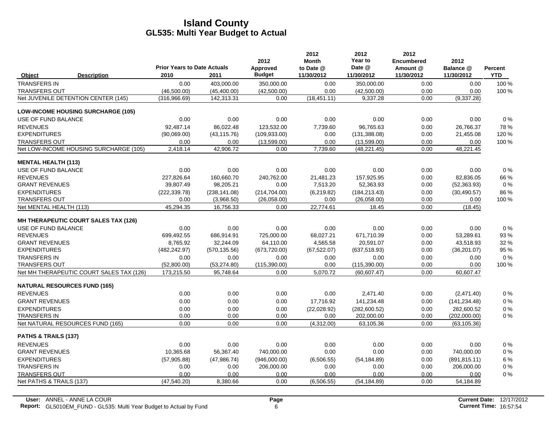|                            |                                           | <b>Prior Years to Date Actuals</b> |               | 2012<br>Approved | 2012<br><b>Month</b><br>to Date @ | 2012<br>Year to<br>Date @ | 2012<br><b>Encumbered</b><br>Amount @ | 2012<br>Balance @ | Percent    |
|----------------------------|-------------------------------------------|------------------------------------|---------------|------------------|-----------------------------------|---------------------------|---------------------------------------|-------------------|------------|
| Object                     | <b>Description</b>                        | 2010                               | 2011          | <b>Budget</b>    | 11/30/2012                        | 11/30/2012                | 11/30/2012                            | 11/30/2012        | <b>YTD</b> |
| <b>TRANSFERS IN</b>        |                                           | 0.00                               | 403,000.00    | 350,000.00       | 0.00                              | 350,000.00                | 0.00                                  | 0.00              | 100 %      |
| <b>TRANSFERS OUT</b>       |                                           | (46,500.00)                        | (45, 400.00)  | (42,500.00)      | 0.00                              | (42,500.00)               | 0.00                                  | 0.00              | 100 %      |
|                            | Net JUVENILE DETENTION CENTER (145)       | (316, 966.69)                      | 142,313.31    | 0.00             | (18, 451.11)                      | 9,337.28                  | 0.00                                  | (9,337.28)        |            |
|                            | <b>LOW-INCOME HOUSING SURCHARGE (105)</b> |                                    |               |                  |                                   |                           |                                       |                   |            |
| USE OF FUND BALANCE        |                                           | 0.00                               | 0.00          | 0.00             | 0.00                              | 0.00                      | 0.00                                  | 0.00              | 0%         |
| <b>REVENUES</b>            |                                           | 92.487.14                          | 86,022.48     | 123,532.00       | 7,739.60                          | 96.765.63                 | 0.00                                  | 26,766.37         | 78%        |
| <b>EXPENDITURES</b>        |                                           | (90,069.00)                        | (43, 115.76)  | (109, 933.00)    | 0.00                              | (131, 388.08)             | 0.00                                  | 21,455.08         | 120 %      |
| <b>TRANSFERS OUT</b>       |                                           | 0.00                               | 0.00          | (13,599.00)      | 0.00                              | (13,599.00)               | 0.00                                  | 0.00              | 100 %      |
|                            | Net LOW-INCOME HOUSING SURCHARGE (105)    | 2,418.14                           | 42,906.72     | 0.00             | 7,739.60                          | (48, 221.45)              | 0.00                                  | 48,221.45         |            |
| <b>MENTAL HEALTH (113)</b> |                                           |                                    |               |                  |                                   |                           |                                       |                   |            |
| USE OF FUND BALANCE        |                                           | 0.00                               | 0.00          | 0.00             | 0.00                              | 0.00                      | 0.00                                  | 0.00              | 0%         |
| <b>REVENUES</b>            |                                           | 227,826.64                         | 160,660.70    | 240,762.00       | 21,481.23                         | 157,925.95                | 0.00                                  | 82,836.05         | 66 %       |
| <b>GRANT REVENUES</b>      |                                           | 39,807.49                          | 98,205.21     | 0.00             | 7,513.20                          | 52,363.93                 | 0.00                                  | (52, 363.93)      | $0\%$      |
| <b>EXPENDITURES</b>        |                                           | (222, 339.78)                      | (238, 141.08) | (214, 704.00)    | (6,219.82)                        | (184, 213.43)             | 0.00                                  | (30, 490.57)      | 86 %       |
| TRANSFERS OUT              |                                           | 0.00                               | (3,968.50)    | (26,058.00)      | 0.00                              | (26,058.00)               | 0.00                                  | 0.00              | 100 %      |
| Net MENTAL HEALTH (113)    |                                           | 45,294.35                          | 16,756.33     | 0.00             | 22,774.61                         | 18.45                     | 0.00                                  | (18.45)           |            |
|                            | MH THERAPEUTIC COURT SALES TAX (126)      |                                    |               |                  |                                   |                           |                                       |                   |            |
| USE OF FUND BALANCE        |                                           | 0.00                               | 0.00          | 0.00             | 0.00                              | 0.00                      | 0.00                                  | 0.00              | $0\%$      |
| <b>REVENUES</b>            |                                           | 699,492.55                         | 686,914.91    | 725,000.00       | 68,027.21                         | 671,710.39                | 0.00                                  | 53,289.61         | 93%        |
| <b>GRANT REVENUES</b>      |                                           | 8,765.92                           | 32,244.09     | 64,110.00        | 4,565.58                          | 20,591.07                 | 0.00                                  | 43,518.93         | 32 %       |
| <b>EXPENDITURES</b>        |                                           | (482, 242.97)                      | (570, 135.56) | (673, 720.00)    | (67, 522.07)                      | (637, 518.93)             | 0.00                                  | (36, 201.07)      | 95 %       |
| <b>TRANSFERS IN</b>        |                                           | 0.00                               | 0.00          | 0.00             | 0.00                              | 0.00                      | 0.00                                  | 0.00              | 0%         |
| <b>TRANSFERS OUT</b>       |                                           | (52,800.00)                        | (53, 274.80)  | (115, 390.00)    | 0.00                              | (115, 390.00)             | 0.00                                  | 0.00              | 100 %      |
|                            | Net MH THERAPEUTIC COURT SALES TAX (126)  | 173,215.50                         | 95,748.64     | 0.00             | 5,070.72                          | (60, 607.47)              | 0.00                                  | 60,607.47         |            |
|                            | <b>NATURAL RESOURCES FUND (165)</b>       |                                    |               |                  |                                   |                           |                                       |                   |            |
| <b>REVENUES</b>            |                                           | 0.00                               | 0.00          | 0.00             | 0.00                              | 2.471.40                  | 0.00                                  | (2,471.40)        | 0%         |
| <b>GRANT REVENUES</b>      |                                           | 0.00                               | 0.00          | 0.00             | 17,716.92                         | 141,234.48                | 0.00                                  | (141, 234.48)     | 0%         |
| <b>EXPENDITURES</b>        |                                           | 0.00                               | 0.00          | 0.00             | (22,028.92)                       | (282, 600.52)             | 0.00                                  | 282,600.52        | $0\%$      |
| <b>TRANSFERS IN</b>        |                                           | 0.00                               | 0.00          | 0.00             | 0.00                              | 202,000.00                | 0.00                                  | (202,000.00)      | $0\%$      |
|                            | Net NATURAL RESOURCES FUND (165)          | 0.00                               | 0.00          | 0.00             | (4,312.00)                        | 63,105.36                 | 0.00                                  | (63, 105.36)      |            |
| PATHS & TRAILS (137)       |                                           |                                    |               |                  |                                   |                           |                                       |                   |            |
| <b>REVENUES</b>            |                                           | 0.00                               | 0.00          | 0.00             | 0.00                              | 0.00                      | 0.00                                  | 0.00              | 0%         |
| <b>GRANT REVENUES</b>      |                                           | 10,365.68                          | 56,367.40     | 740,000.00       | 0.00                              | 0.00                      | 0.00                                  | 740,000.00        | $0\%$      |
| <b>EXPENDITURES</b>        |                                           | (57,905.88)                        | (47, 986.74)  | (946,000.00)     | (6,506.55)                        | (54, 184.89)              | 0.00                                  | (891, 815.11)     | 6 %        |
| <b>TRANSFERS IN</b>        |                                           | 0.00                               | 0.00          | 206,000.00       | 0.00                              | 0.00                      | 0.00                                  | 206,000.00        | $0\%$      |
| <b>TRANSFERS OUT</b>       |                                           | 0.00                               | 0.00          | 0.00             | 0.00                              | 0.00                      | 0.00                                  | 0.00              | $0\%$      |
| Net PATHS & TRAILS (137)   |                                           | (47, 540.20)                       | 8,380.66      | 0.00             | (6,506.55)                        | (54, 184.89)              | 0.00                                  | 54,184.89         |            |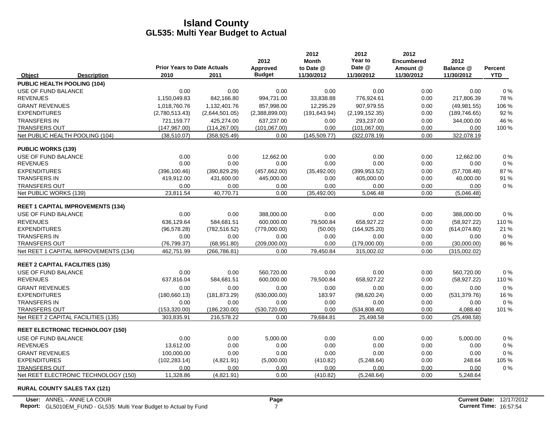|                           |                                          |                                            |                | 2012                      | 2012<br><b>Month</b>    | 2012<br>Year to      | 2012<br><b>Encumbered</b> | 2012                    |                       |
|---------------------------|------------------------------------------|--------------------------------------------|----------------|---------------------------|-------------------------|----------------------|---------------------------|-------------------------|-----------------------|
| Object                    | <b>Description</b>                       | <b>Prior Years to Date Actuals</b><br>2010 | 2011           | Approved<br><b>Budget</b> | to Date @<br>11/30/2012 | Date @<br>11/30/2012 | Amount @<br>11/30/2012    | Balance @<br>11/30/2012 | Percent<br><b>YTD</b> |
|                           | PUBLIC HEALTH POOLING (104)              |                                            |                |                           |                         |                      |                           |                         |                       |
| USE OF FUND BALANCE       |                                          | 0.00                                       | 0.00           | 0.00                      | 0.00                    | 0.00                 | 0.00                      | 0.00                    | 0%                    |
| <b>REVENUES</b>           |                                          | 1,150,049.83                               | 842,166.80     | 994,731.00                | 33,838.88               | 776,924.61           | 0.00                      | 217,806.39              | 78%                   |
| <b>GRANT REVENUES</b>     |                                          | 1.018.760.76                               | 1.132.401.76   | 857.998.00                | 12.295.29               | 907.979.55           | 0.00                      | (49, 981.55)            | 106 %                 |
| <b>EXPENDITURES</b>       |                                          | (2,780,513.43)                             | (2,644,501.05) | (2,388,899.00)            | (191, 643.94)           | (2, 199, 152.35)     | 0.00                      | (189, 746.65)           | 92%                   |
| <b>TRANSFERS IN</b>       |                                          | 721,159.77                                 | 425,274.00     | 637,237.00                | 0.00                    | 293,237.00           | 0.00                      | 344,000.00              | 46 %                  |
| <b>TRANSFERS OUT</b>      |                                          | (147, 967.00)                              | (114, 267.00)  | (101, 067.00)             | 0.00                    | (101, 067.00)        | 0.00                      | 0.00                    | 100 %                 |
|                           | Net PUBLIC HEALTH POOLING (104)          | (38, 510.07)                               | (358, 925.49)  | 0.00                      | (145, 509.77)           | (322,078.19)         | 0.00                      | 322,078.19              |                       |
| <b>PUBLIC WORKS (139)</b> |                                          |                                            |                |                           |                         |                      |                           |                         |                       |
| USE OF FUND BALANCE       |                                          | 0.00                                       | 0.00           | 12,662.00                 | 0.00                    | 0.00                 | 0.00                      | 12,662.00               | 0%                    |
| <b>REVENUES</b>           |                                          | 0.00                                       | 0.00           | 0.00                      | 0.00                    | 0.00                 | 0.00                      | 0.00                    | 0%                    |
| <b>EXPENDITURES</b>       |                                          | (396, 100.46)                              | (390, 829.29)  | (457, 662.00)             | (35, 492.00)            | (399.953.52)         | 0.00                      | (57,708.48)             | 87%                   |
| <b>TRANSFERS IN</b>       |                                          | 419,912.00                                 | 431,600.00     | 445,000.00                | 0.00                    | 405,000.00           | 0.00                      | 40,000.00               | 91 %                  |
| <b>TRANSFERS OUT</b>      |                                          | 0.00                                       | 0.00           | 0.00                      | 0.00                    | 0.00                 | 0.00                      | 0.00                    | $0\%$                 |
| Net PUBLIC WORKS (139)    |                                          | 23,811.54                                  | 40,770.71      | 0.00                      | (35, 492.00)            | 5,046.48             | 0.00                      | (5,046.48)              |                       |
|                           | <b>REET 1 CAPITAL IMPROVEMENTS (134)</b> |                                            |                |                           |                         |                      |                           |                         |                       |
| USE OF FUND BALANCE       |                                          | 0.00                                       | 0.00           | 388,000.00                | 0.00                    | 0.00                 | 0.00                      | 388,000.00              | 0%                    |
| <b>REVENUES</b>           |                                          | 636,129.64                                 | 584,681.51     | 600,000.00                | 79,500.84               | 658.927.22           | 0.00                      | (58, 927.22)            | 110%                  |
| <b>EXPENDITURES</b>       |                                          | (96, 578.28)                               | (782, 516.52)  | (779,000.00)              | (50.00)                 | (164, 925.20)        | 0.00                      | (614, 074.80)           | 21 %                  |
| <b>TRANSFERS IN</b>       |                                          | 0.00                                       | 0.00           | 0.00                      | 0.00                    | 0.00                 | 0.00                      | 0.00                    | 0%                    |
| TRANSFERS OUT             |                                          | (76, 799.37)                               | (68,951.80)    | (209,000.00)              | 0.00                    | (179,000.00)         | 0.00                      | (30,000.00)             | 86 %                  |
|                           | Net REET 1 CAPITAL IMPROVEMENTS (134)    | 462,751.99                                 | (266, 786.81)  | 0.00                      | 79,450.84               | 315,002.02           | 0.00                      | (315,002.02)            |                       |
|                           | <b>REET 2 CAPITAL FACILITIES (135)</b>   |                                            |                |                           |                         |                      |                           |                         |                       |
| USE OF FUND BALANCE       |                                          | 0.00                                       | 0.00           | 560,720.00                | 0.00                    | 0.00                 | 0.00                      | 560,720.00              | 0%                    |
| <b>REVENUES</b>           |                                          | 637,816.04                                 | 584,681.51     | 600,000.00                | 79,500.84               | 658,927.22           | 0.00                      | (58, 927.22)            | 110 %                 |
| <b>GRANT REVENUES</b>     |                                          | 0.00                                       | 0.00           | 0.00                      | 0.00                    | 0.00                 | 0.00                      | 0.00                    | 0%                    |
| <b>EXPENDITURES</b>       |                                          | (180, 660.13)                              | (181, 873.29)  | (630,000.00)              | 183.97                  | (98, 620.24)         | 0.00                      | (531, 379.76)           | 16 %                  |
| <b>TRANSFERS IN</b>       |                                          | 0.00                                       | 0.00           | 0.00                      | 0.00                    | 0.00                 | 0.00                      | 0.00                    | 0%                    |
| <b>TRANSFERS OUT</b>      |                                          | (153, 320.00)                              | (186, 230.00)  | (530, 720.00)             | 0.00                    | (534, 808.40)        | 0.00                      | 4,088.40                | 101%                  |
|                           | Net REET 2 CAPITAL FACILITIES (135)      | 303,835.91                                 | 216,578.22     | 0.00                      | 79,684.81               | 25,498.58            | 0.00                      | (25, 498.58)            |                       |
|                           | <b>REET ELECTRONIC TECHNOLOGY (150)</b>  |                                            |                |                           |                         |                      |                           |                         |                       |
| USE OF FUND BALANCE       |                                          | 0.00                                       | 0.00           | 5,000.00                  | 0.00                    | 0.00                 | 0.00                      | 5,000.00                | 0%                    |
| <b>REVENUES</b>           |                                          | 13,612.00                                  | 0.00           | 0.00                      | 0.00                    | 0.00                 | 0.00                      | 0.00                    | 0%                    |
| <b>GRANT REVENUES</b>     |                                          | 100,000.00                                 | 0.00           | 0.00                      | 0.00                    | 0.00                 | 0.00                      | 0.00                    | 0%                    |
| <b>EXPENDITURES</b>       |                                          | (102, 283.14)                              | (4,821.91)     | (5,000.00)                | (410.82)                | (5,248.64)           | 0.00                      | 248.64                  | 105 %                 |
| <b>TRANSFERS OUT</b>      |                                          | 0.00                                       | 0.00           | 0.00                      | 0.00                    | 0.00                 | 0.00                      | 0.00                    | 0%                    |
|                           | Net REET ELECTRONIC TECHNOLOGY (150)     | 11,328.86                                  | (4,821.91)     | 0.00                      | (410.82)                | (5,248.64)           | 0.00                      | 5,248.64                |                       |

#### **RURAL COUNTY SALES TAX (121)**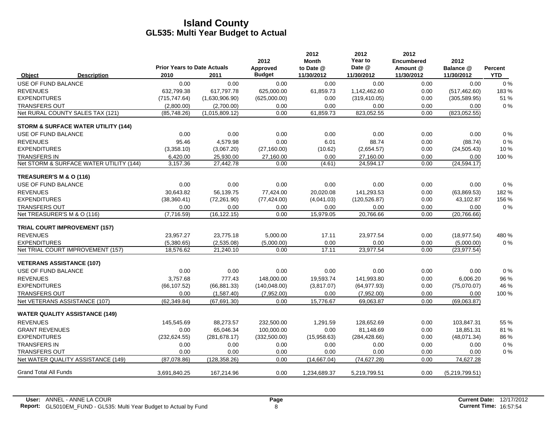|                                  |                                                |                                            |                | 2012                      | 2012<br>Month           | 2012<br><b>Year to</b> | 2012<br><b>Encumbered</b> | 2012                    |                              |
|----------------------------------|------------------------------------------------|--------------------------------------------|----------------|---------------------------|-------------------------|------------------------|---------------------------|-------------------------|------------------------------|
| Object                           | <b>Description</b>                             | <b>Prior Years to Date Actuals</b><br>2010 | 2011           | Approved<br><b>Budget</b> | to Date @<br>11/30/2012 | Date @<br>11/30/2012   | Amount @<br>11/30/2012    | Balance @<br>11/30/2012 | <b>Percent</b><br><b>YTD</b> |
| USE OF FUND BALANCE              |                                                | 0.00                                       | 0.00           | 0.00                      | 0.00                    | 0.00                   | 0.00                      | 0.00                    | 0%                           |
| <b>REVENUES</b>                  |                                                | 632,799.38                                 | 617,797.78     | 625,000.00                | 61,859.73               | 1,142,462.60           | 0.00                      | (517, 462.60)           | 183%                         |
| <b>EXPENDITURES</b>              |                                                | (715, 747.64)                              | (1,630,906.90) | (625,000.00)              | 0.00                    | (319, 410.05)          | 0.00                      | (305, 589.95)           | 51 %                         |
| <b>TRANSFERS OUT</b>             |                                                | (2,800.00)                                 | (2,700.00)     | 0.00                      | 0.00                    | 0.00                   | 0.00                      | 0.00                    | 0%                           |
|                                  | Net RURAL COUNTY SALES TAX (121)               | (85,748.26)                                | (1,015,809.12) | 0.00                      | 61,859.73               | 823,052.55             | 0.00                      | (823,052.55)            |                              |
|                                  | <b>STORM &amp; SURFACE WATER UTILITY (144)</b> |                                            |                |                           |                         |                        |                           |                         |                              |
| USE OF FUND BALANCE              |                                                | 0.00                                       | 0.00           | 0.00                      | 0.00                    | 0.00                   | 0.00                      | 0.00                    | 0%                           |
| <b>REVENUES</b>                  |                                                | 95.46                                      | 4,579.98       | 0.00                      | 6.01                    | 88.74                  | 0.00                      | (88.74)                 | $0\%$                        |
| <b>EXPENDITURES</b>              |                                                | (3,358.10)                                 | (3,067.20)     | (27, 160.00)              | (10.62)                 | (2,654.57)             | 0.00                      | (24, 505.43)            | 10%                          |
| <b>TRANSFERS IN</b>              |                                                | 6,420.00                                   | 25,930.00      | 27,160.00                 | 0.00                    | 27,160.00              | 0.00                      | 0.00                    | 100 %                        |
|                                  | Net STORM & SURFACE WATER UTILITY (144)        | 3,157.36                                   | 27,442.78      | 0.00                      | (4.61)                  | 24,594.17              | 0.00                      | (24, 594.17)            |                              |
| TREASURER'S M & O (116)          |                                                |                                            |                |                           |                         |                        |                           |                         |                              |
| USE OF FUND BALANCE              |                                                | 0.00                                       | 0.00           | 0.00                      | 0.00                    | 0.00                   | 0.00                      | 0.00                    | 0%                           |
| <b>REVENUES</b>                  |                                                | 30.643.82                                  | 56,139.75      | 77,424.00                 | 20,020.08               | 141,293.53             | 0.00                      | (63,869.53)             | 182%                         |
| <b>EXPENDITURES</b>              |                                                | (38, 360.41)                               | (72, 261.90)   | (77, 424.00)              | (4,041.03)              | (120, 526.87)          | 0.00                      | 43,102.87               | 156 %                        |
| <b>TRANSFERS OUT</b>             |                                                | 0.00                                       | 0.00           | 0.00                      | 0.00                    | 0.00                   | 0.00                      | 0.00                    | 0%                           |
| Net TREASURER'S M & O (116)      |                                                | (7,716.59)                                 | (16, 122.15)   | 0.00                      | 15,979.05               | 20,766.66              | 0.00                      | (20, 766.66)            |                              |
|                                  | <b>TRIAL COURT IMPROVEMENT (157)</b>           |                                            |                |                           |                         |                        |                           |                         |                              |
| <b>REVENUES</b>                  |                                                | 23,957.27                                  | 23,775.18      | 5,000.00                  | 17.11                   | 23,977.54              | 0.00                      | (18, 977.54)            | 480 %                        |
| <b>EXPENDITURES</b>              |                                                | (5,380.65)                                 | (2,535.08)     | (5,000.00)                | 0.00                    | 0.00                   | 0.00                      | (5,000.00)              | 0%                           |
|                                  | Net TRIAL COURT IMPROVEMENT (157)              | 18,576.62                                  | 21,240.10      | 0.00                      | 17.11                   | 23,977.54              | 0.00                      | (23, 977.54)            |                              |
| <b>VETERANS ASSISTANCE (107)</b> |                                                |                                            |                |                           |                         |                        |                           |                         |                              |
| USE OF FUND BALANCE              |                                                | 0.00                                       | 0.00           | 0.00                      | 0.00                    | 0.00                   | 0.00                      | 0.00                    | 0%                           |
| <b>REVENUES</b>                  |                                                | 3,757.68                                   | 777.43         | 148,000.00                | 19,593.74               | 141.993.80             | 0.00                      | 6,006.20                | 96 %                         |
| <b>EXPENDITURES</b>              |                                                | (66, 107.52)                               | (66, 881.33)   | (140, 048.00)             | (3,817.07)              | (64, 977.93)           | 0.00                      | (75,070.07)             | 46 %                         |
| <b>TRANSFERS OUT</b>             |                                                | 0.00                                       | (1,587.40)     | (7,952.00)                | 0.00                    | (7,952.00)             | 0.00                      | 0.00                    | 100 %                        |
|                                  | Net VETERANS ASSISTANCE (107)                  | (62, 349.84)                               | (67, 691.30)   | 0.00                      | 15,776.67               | 69,063.87              | 0.00                      | (69,063.87)             |                              |
|                                  | <b>WATER QUALITY ASSISTANCE (149)</b>          |                                            |                |                           |                         |                        |                           |                         |                              |
| <b>REVENUES</b>                  |                                                | 145,545.69                                 | 88,273.57      | 232,500.00                | 1,291.59                | 128,652.69             | 0.00                      | 103,847.31              | 55 %                         |
| <b>GRANT REVENUES</b>            |                                                | 0.00                                       | 65,046.34      | 100,000.00                | 0.00                    | 81,148.69              | 0.00                      | 18,851.31               | 81%                          |
| <b>EXPENDITURES</b>              |                                                | (232, 624.55)                              | (281, 678.17)  | (332, 500.00)             | (15,958.63)             | (284, 428.66)          | 0.00                      | (48,071.34)             | 86 %                         |
| <b>TRANSFERS IN</b>              |                                                | 0.00                                       | 0.00           | 0.00                      | 0.00                    | 0.00                   | 0.00                      | 0.00                    | 0%                           |
| <b>TRANSFERS OUT</b>             |                                                | 0.00                                       | 0.00           | 0.00                      | 0.00                    | 0.00                   | 0.00                      | 0.00                    | $0\%$                        |
|                                  | Net WATER QUALITY ASSISTANCE (149)             | (87,078.86)                                | (128, 358.26)  | 0.00                      | (14,667.04)             | (74, 627.28)           | 0.00                      | 74,627.28               |                              |
| <b>Grand Total All Funds</b>     |                                                | 3,691,840.25                               | 167,214.96     | 0.00                      | 1,234,689.37            | 5,219,799.51           | 0.00                      | (5,219,799.51)          |                              |